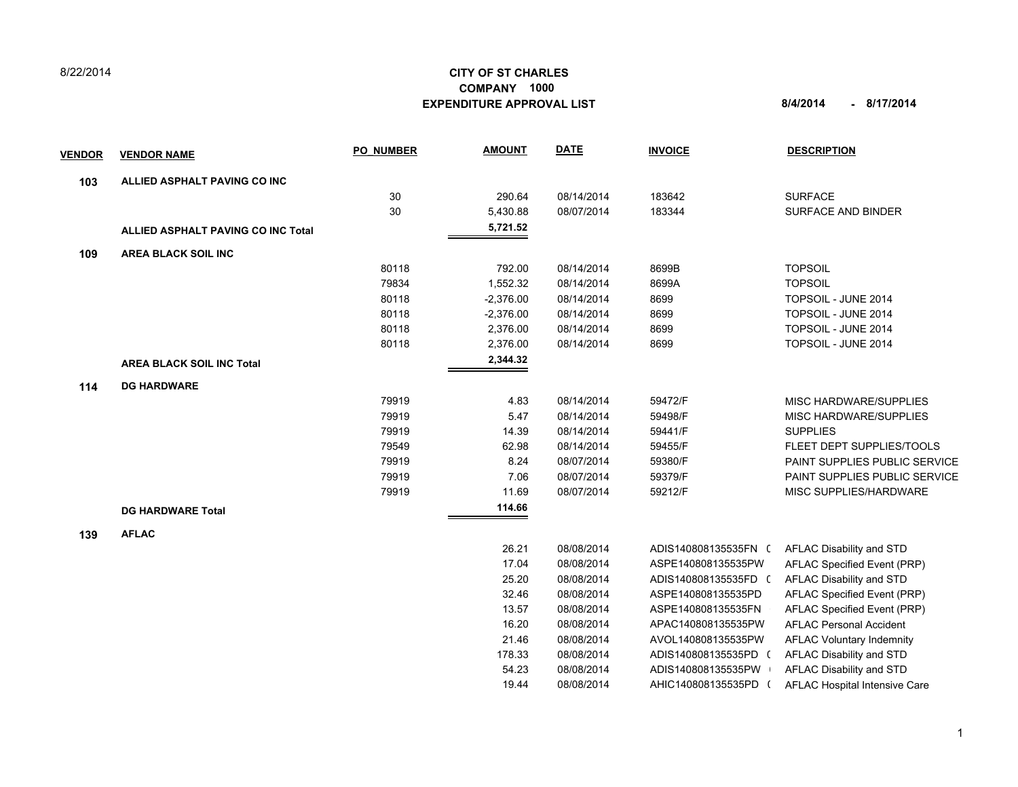## 8/22/2014

## **CITY OF ST CHARLES EXPENDITURE APPROVAL LIST 8/4/2014 - 8/17/2014 COMPANY 1000**

| <b>VENDOR</b> | <b>VENDOR NAME</b>                        | <b>PO NUMBER</b> | <b>AMOUNT</b> | <b>DATE</b> | <b>INVOICE</b>       | <b>DESCRIPTION</b>               |
|---------------|-------------------------------------------|------------------|---------------|-------------|----------------------|----------------------------------|
| 103           | ALLIED ASPHALT PAVING CO INC              |                  |               |             |                      |                                  |
|               |                                           | 30               | 290.64        | 08/14/2014  | 183642               | <b>SURFACE</b>                   |
|               |                                           | 30               | 5,430.88      | 08/07/2014  | 183344               | SURFACE AND BINDER               |
|               | <b>ALLIED ASPHALT PAVING CO INC Total</b> |                  | 5,721.52      |             |                      |                                  |
| 109           | <b>AREA BLACK SOIL INC</b>                |                  |               |             |                      |                                  |
|               |                                           | 80118            | 792.00        | 08/14/2014  | 8699B                | <b>TOPSOIL</b>                   |
|               |                                           | 79834            | 1,552.32      | 08/14/2014  | 8699A                | <b>TOPSOIL</b>                   |
|               |                                           | 80118            | $-2,376.00$   | 08/14/2014  | 8699                 | TOPSOIL - JUNE 2014              |
|               |                                           | 80118            | $-2,376.00$   | 08/14/2014  | 8699                 | TOPSOIL - JUNE 2014              |
|               |                                           | 80118            | 2,376.00      | 08/14/2014  | 8699                 | TOPSOIL - JUNE 2014              |
|               |                                           | 80118            | 2,376.00      | 08/14/2014  | 8699                 | TOPSOIL - JUNE 2014              |
|               | <b>AREA BLACK SOIL INC Total</b>          |                  | 2,344.32      |             |                      |                                  |
| 114           | <b>DG HARDWARE</b>                        |                  |               |             |                      |                                  |
|               |                                           | 79919            | 4.83          | 08/14/2014  | 59472/F              | <b>MISC HARDWARE/SUPPLIES</b>    |
|               |                                           | 79919            | 5.47          | 08/14/2014  | 59498/F              | MISC HARDWARE/SUPPLIES           |
|               |                                           | 79919            | 14.39         | 08/14/2014  | 59441/F              | <b>SUPPLIES</b>                  |
|               |                                           | 79549            | 62.98         | 08/14/2014  | 59455/F              | FLEET DEPT SUPPLIES/TOOLS        |
|               |                                           | 79919            | 8.24          | 08/07/2014  | 59380/F              | PAINT SUPPLIES PUBLIC SERVICE    |
|               |                                           | 79919            | 7.06          | 08/07/2014  | 59379/F              | PAINT SUPPLIES PUBLIC SERVICE    |
|               |                                           | 79919            | 11.69         | 08/07/2014  | 59212/F              | MISC SUPPLIES/HARDWARE           |
|               | <b>DG HARDWARE Total</b>                  |                  | 114.66        |             |                      |                                  |
| 139           | <b>AFLAC</b>                              |                  |               |             |                      |                                  |
|               |                                           |                  | 26.21         | 08/08/2014  | ADIS140808135535FN ( | AFLAC Disability and STD         |
|               |                                           |                  | 17.04         | 08/08/2014  | ASPE140808135535PW   | AFLAC Specified Event (PRP)      |
|               |                                           |                  | 25.20         | 08/08/2014  | ADIS140808135535FD ( | AFLAC Disability and STD         |
|               |                                           |                  | 32.46         | 08/08/2014  | ASPE140808135535PD   | AFLAC Specified Event (PRP)      |
|               |                                           |                  | 13.57         | 08/08/2014  | ASPE140808135535FN   | AFLAC Specified Event (PRP)      |
|               |                                           |                  | 16.20         | 08/08/2014  | APAC140808135535PW   | <b>AFLAC Personal Accident</b>   |
|               |                                           |                  | 21.46         | 08/08/2014  | AVOL140808135535PW   | <b>AFLAC Voluntary Indemnity</b> |
|               |                                           |                  | 178.33        | 08/08/2014  | ADIS140808135535PD ( | AFLAC Disability and STD         |
|               |                                           |                  | 54.23         | 08/08/2014  | ADIS140808135535PW   | AFLAC Disability and STD         |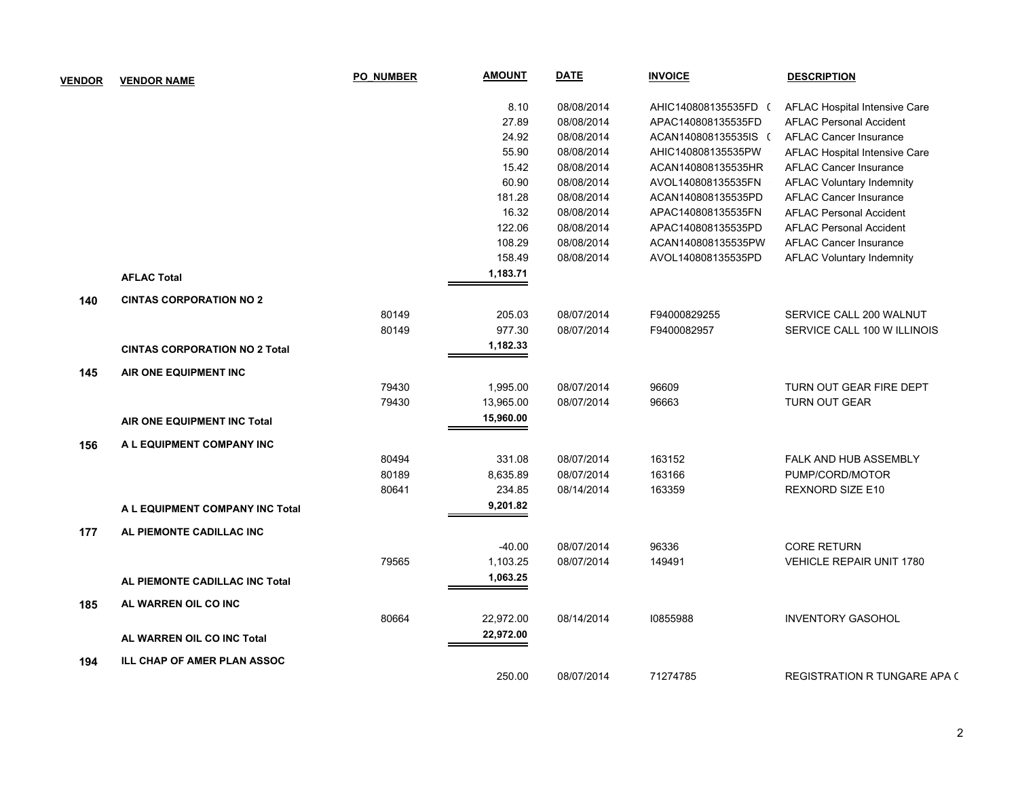| <b>VENDOR</b> | <b>VENDOR NAME</b>                   | <b>PO NUMBER</b> | <u>AMOUNT</u> | <b>DATE</b> | <b>INVOICE</b>       | <b>DESCRIPTION</b>               |
|---------------|--------------------------------------|------------------|---------------|-------------|----------------------|----------------------------------|
|               |                                      |                  | 8.10          | 08/08/2014  | AHIC140808135535FD ( | AFLAC Hospital Intensive Care    |
|               |                                      |                  | 27.89         | 08/08/2014  | APAC140808135535FD   | <b>AFLAC Personal Accident</b>   |
|               |                                      |                  | 24.92         | 08/08/2014  | ACAN140808135535IS ( | <b>AFLAC Cancer Insurance</b>    |
|               |                                      |                  | 55.90         | 08/08/2014  | AHIC140808135535PW   | AFLAC Hospital Intensive Care    |
|               |                                      |                  | 15.42         | 08/08/2014  | ACAN140808135535HR   | <b>AFLAC Cancer Insurance</b>    |
|               |                                      |                  | 60.90         | 08/08/2014  | AVOL140808135535FN   | <b>AFLAC Voluntary Indemnity</b> |
|               |                                      |                  | 181.28        | 08/08/2014  | ACAN140808135535PD   | <b>AFLAC Cancer Insurance</b>    |
|               |                                      |                  | 16.32         | 08/08/2014  | APAC140808135535FN   | <b>AFLAC Personal Accident</b>   |
|               |                                      |                  | 122.06        | 08/08/2014  | APAC140808135535PD   | <b>AFLAC Personal Accident</b>   |
|               |                                      |                  | 108.29        | 08/08/2014  | ACAN140808135535PW   | <b>AFLAC Cancer Insurance</b>    |
|               |                                      |                  | 158.49        | 08/08/2014  | AVOL140808135535PD   | <b>AFLAC Voluntary Indemnity</b> |
|               | <b>AFLAC Total</b>                   |                  | 1,183.71      |             |                      |                                  |
| 140           | <b>CINTAS CORPORATION NO 2</b>       |                  |               |             |                      |                                  |
|               |                                      | 80149            | 205.03        | 08/07/2014  | F94000829255         | SERVICE CALL 200 WALNUT          |
|               |                                      | 80149            | 977.30        | 08/07/2014  | F9400082957          | SERVICE CALL 100 W ILLINOIS      |
|               | <b>CINTAS CORPORATION NO 2 Total</b> |                  | 1,182.33      |             |                      |                                  |
| 145           | AIR ONE EQUIPMENT INC                |                  |               |             |                      |                                  |
|               |                                      | 79430            | 1,995.00      | 08/07/2014  | 96609                | TURN OUT GEAR FIRE DEPT          |
|               |                                      | 79430            | 13,965.00     | 08/07/2014  | 96663                | <b>TURN OUT GEAR</b>             |
|               | AIR ONE EQUIPMENT INC Total          |                  | 15,960.00     |             |                      |                                  |
| 156           | A L EQUIPMENT COMPANY INC            |                  |               |             |                      |                                  |
|               |                                      | 80494            | 331.08        | 08/07/2014  | 163152               | FALK AND HUB ASSEMBLY            |
|               |                                      | 80189            | 8,635.89      | 08/07/2014  | 163166               | PUMP/CORD/MOTOR                  |
|               |                                      | 80641            | 234.85        | 08/14/2014  | 163359               | REXNORD SIZE E10                 |
|               | A L EQUIPMENT COMPANY INC Total      |                  | 9,201.82      |             |                      |                                  |
| 177           | AL PIEMONTE CADILLAC INC             |                  |               |             |                      |                                  |
|               |                                      |                  | $-40.00$      | 08/07/2014  | 96336                | <b>CORE RETURN</b>               |
|               |                                      | 79565            | 1,103.25      | 08/07/2014  | 149491               | <b>VEHICLE REPAIR UNIT 1780</b>  |
|               | AL PIEMONTE CADILLAC INC Total       |                  | 1,063.25      |             |                      |                                  |
| 185           | AL WARREN OIL CO INC                 |                  |               |             |                      |                                  |
|               |                                      | 80664            | 22,972.00     | 08/14/2014  | 10855988             | <b>INVENTORY GASOHOL</b>         |
|               | AL WARREN OIL CO INC Total           |                  | 22,972.00     |             |                      |                                  |
| 194           | ILL CHAP OF AMER PLAN ASSOC          |                  |               |             |                      |                                  |
|               |                                      |                  | 250.00        | 08/07/2014  | 71274785             | REGISTRATION R TUNGARE APA (     |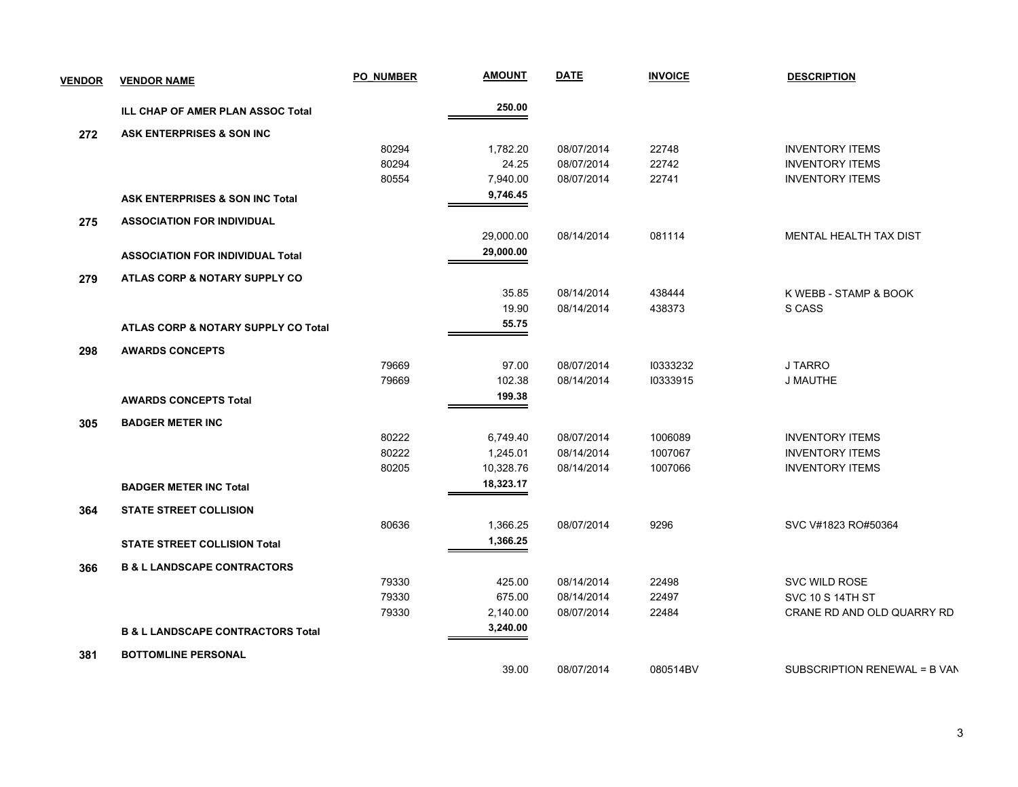| <b>VENDOR</b> | <b>VENDOR NAME</b>                           | <b>PO NUMBER</b> | <b>AMOUNT</b> | <b>DATE</b> | <b>INVOICE</b> | <b>DESCRIPTION</b>           |
|---------------|----------------------------------------------|------------------|---------------|-------------|----------------|------------------------------|
|               | ILL CHAP OF AMER PLAN ASSOC Total            |                  | 250.00        |             |                |                              |
| 272           | ASK ENTERPRISES & SON INC                    |                  |               |             |                |                              |
|               |                                              | 80294            | 1,782.20      | 08/07/2014  | 22748          | <b>INVENTORY ITEMS</b>       |
|               |                                              | 80294            | 24.25         | 08/07/2014  | 22742          | <b>INVENTORY ITEMS</b>       |
|               |                                              | 80554            | 7,940.00      | 08/07/2014  | 22741          | <b>INVENTORY ITEMS</b>       |
|               | <b>ASK ENTERPRISES &amp; SON INC Total</b>   |                  | 9,746.45      |             |                |                              |
| 275           | <b>ASSOCIATION FOR INDIVIDUAL</b>            |                  |               |             |                |                              |
|               |                                              |                  | 29,000.00     | 08/14/2014  | 081114         | MENTAL HEALTH TAX DIST       |
|               | <b>ASSOCIATION FOR INDIVIDUAL Total</b>      |                  | 29,000.00     |             |                |                              |
| 279           | ATLAS CORP & NOTARY SUPPLY CO                |                  |               |             |                |                              |
|               |                                              |                  | 35.85         | 08/14/2014  | 438444         | K WEBB - STAMP & BOOK        |
|               |                                              |                  | 19.90         | 08/14/2014  | 438373         | S CASS                       |
|               | ATLAS CORP & NOTARY SUPPLY CO Total          |                  | 55.75         |             |                |                              |
| 298           | <b>AWARDS CONCEPTS</b>                       |                  |               |             |                |                              |
|               |                                              | 79669            | 97.00         | 08/07/2014  | 10333232       | J TARRO                      |
|               |                                              | 79669            | 102.38        | 08/14/2014  | 10333915       | <b>J MAUTHE</b>              |
|               | <b>AWARDS CONCEPTS Total</b>                 |                  | 199.38        |             |                |                              |
| 305           | <b>BADGER METER INC</b>                      |                  |               |             |                |                              |
|               |                                              | 80222            | 6,749.40      | 08/07/2014  | 1006089        | <b>INVENTORY ITEMS</b>       |
|               |                                              | 80222            | 1,245.01      | 08/14/2014  | 1007067        | <b>INVENTORY ITEMS</b>       |
|               |                                              | 80205            | 10,328.76     | 08/14/2014  | 1007066        | <b>INVENTORY ITEMS</b>       |
|               | <b>BADGER METER INC Total</b>                |                  | 18,323.17     |             |                |                              |
| 364           | <b>STATE STREET COLLISION</b>                |                  |               |             |                |                              |
|               |                                              | 80636            | 1,366.25      | 08/07/2014  | 9296           | SVC V#1823 RO#50364          |
|               | <b>STATE STREET COLLISION Total</b>          |                  | 1,366.25      |             |                |                              |
| 366           | <b>B &amp; L LANDSCAPE CONTRACTORS</b>       |                  |               |             |                |                              |
|               |                                              | 79330            | 425.00        | 08/14/2014  | 22498          | SVC WILD ROSE                |
|               |                                              | 79330            | 675.00        | 08/14/2014  | 22497          | <b>SVC 10 S 14TH ST</b>      |
|               |                                              | 79330            | 2,140.00      | 08/07/2014  | 22484          | CRANE RD AND OLD QUARRY RD   |
|               | <b>B &amp; L LANDSCAPE CONTRACTORS Total</b> |                  | 3,240.00      |             |                |                              |
| 381           | <b>BOTTOMLINE PERSONAL</b>                   |                  |               |             |                |                              |
|               |                                              |                  | 39.00         | 08/07/2014  | 080514BV       | SUBSCRIPTION RENEWAL = B VAN |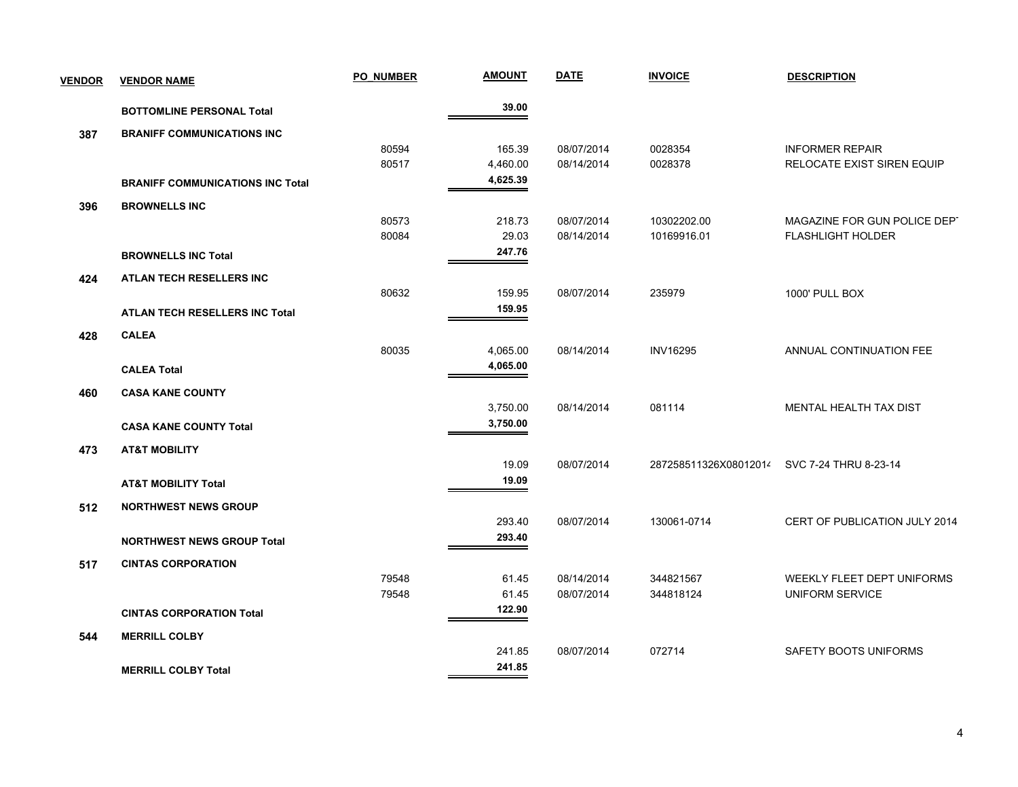| <b>VENDOR</b> | <b>VENDOR NAME</b>                      | <b>PO NUMBER</b> | <b>AMOUNT</b> | <b>DATE</b> | <b>INVOICE</b>        | <b>DESCRIPTION</b>            |
|---------------|-----------------------------------------|------------------|---------------|-------------|-----------------------|-------------------------------|
|               | <b>BOTTOMLINE PERSONAL Total</b>        |                  | 39.00         |             |                       |                               |
| 387           | <b>BRANIFF COMMUNICATIONS INC</b>       |                  |               |             |                       |                               |
|               |                                         | 80594            | 165.39        | 08/07/2014  | 0028354               | <b>INFORMER REPAIR</b>        |
|               |                                         | 80517            | 4,460.00      | 08/14/2014  | 0028378               | RELOCATE EXIST SIREN EQUIP    |
|               | <b>BRANIFF COMMUNICATIONS INC Total</b> |                  | 4,625.39      |             |                       |                               |
| 396           | <b>BROWNELLS INC</b>                    |                  |               |             |                       |                               |
|               |                                         | 80573            | 218.73        | 08/07/2014  | 10302202.00           | MAGAZINE FOR GUN POLICE DEPT  |
|               |                                         | 80084            | 29.03         | 08/14/2014  | 10169916.01           | <b>FLASHLIGHT HOLDER</b>      |
|               | <b>BROWNELLS INC Total</b>              |                  | 247.76        |             |                       |                               |
| 424           | ATLAN TECH RESELLERS INC                |                  |               |             |                       |                               |
|               |                                         | 80632            | 159.95        | 08/07/2014  | 235979                | 1000' PULL BOX                |
|               | <b>ATLAN TECH RESELLERS INC Total</b>   |                  | 159.95        |             |                       |                               |
| 428           | <b>CALEA</b>                            |                  |               |             |                       |                               |
|               |                                         | 80035            | 4,065.00      | 08/14/2014  | <b>INV16295</b>       | ANNUAL CONTINUATION FEE       |
|               | <b>CALEA Total</b>                      |                  | 4,065.00      |             |                       |                               |
| 460           | <b>CASA KANE COUNTY</b>                 |                  |               |             |                       |                               |
|               |                                         |                  | 3,750.00      | 08/14/2014  | 081114                | MENTAL HEALTH TAX DIST        |
|               | <b>CASA KANE COUNTY Total</b>           |                  | 3,750.00      |             |                       |                               |
|               |                                         |                  |               |             |                       |                               |
| 473           | <b>AT&amp;T MOBILITY</b>                |                  | 19.09         | 08/07/2014  | 287258511326X08012014 | SVC 7-24 THRU 8-23-14         |
|               |                                         |                  | 19.09         |             |                       |                               |
|               | <b>AT&amp;T MOBILITY Total</b>          |                  |               |             |                       |                               |
| 512           | <b>NORTHWEST NEWS GROUP</b>             |                  |               |             |                       |                               |
|               |                                         |                  | 293.40        | 08/07/2014  | 130061-0714           | CERT OF PUBLICATION JULY 2014 |
|               | <b>NORTHWEST NEWS GROUP Total</b>       |                  | 293.40        |             |                       |                               |
| 517           | <b>CINTAS CORPORATION</b>               |                  |               |             |                       |                               |
|               |                                         | 79548            | 61.45         | 08/14/2014  | 344821567             | WEEKLY FLEET DEPT UNIFORMS    |
|               |                                         | 79548            | 61.45         | 08/07/2014  | 344818124             | <b>UNIFORM SERVICE</b>        |
|               | <b>CINTAS CORPORATION Total</b>         |                  | 122.90        |             |                       |                               |
| 544           | <b>MERRILL COLBY</b>                    |                  |               |             |                       |                               |
|               |                                         |                  | 241.85        | 08/07/2014  | 072714                | SAFETY BOOTS UNIFORMS         |
|               | <b>MERRILL COLBY Total</b>              |                  | 241.85        |             |                       |                               |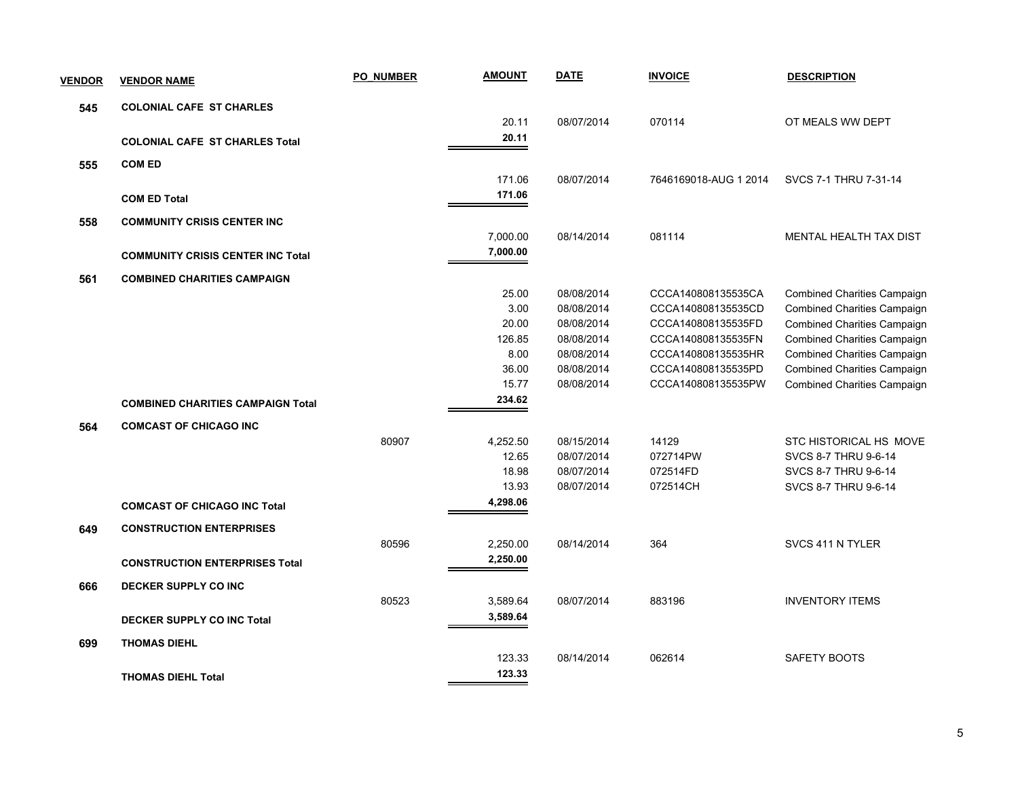| <b>VENDOR</b> | <b>VENDOR NAME</b>                       | <b>PO NUMBER</b> | <b>AMOUNT</b> | <b>DATE</b>              | <b>INVOICE</b>                           | <b>DESCRIPTION</b>                                                       |
|---------------|------------------------------------------|------------------|---------------|--------------------------|------------------------------------------|--------------------------------------------------------------------------|
| 545           | <b>COLONIAL CAFE ST CHARLES</b>          |                  |               |                          |                                          |                                                                          |
|               |                                          |                  | 20.11         | 08/07/2014               | 070114                                   | OT MEALS WW DEPT                                                         |
|               | <b>COLONIAL CAFE ST CHARLES Total</b>    |                  | 20.11         |                          |                                          |                                                                          |
| 555           | <b>COM ED</b>                            |                  |               |                          |                                          |                                                                          |
|               |                                          |                  | 171.06        | 08/07/2014               | 7646169018-AUG 1 2014                    | SVCS 7-1 THRU 7-31-14                                                    |
|               | <b>COM ED Total</b>                      |                  | 171.06        |                          |                                          |                                                                          |
| 558           | <b>COMMUNITY CRISIS CENTER INC</b>       |                  |               |                          |                                          |                                                                          |
|               |                                          |                  | 7,000.00      | 08/14/2014               | 081114                                   | MENTAL HEALTH TAX DIST                                                   |
|               | <b>COMMUNITY CRISIS CENTER INC Total</b> |                  | 7,000.00      |                          |                                          |                                                                          |
|               |                                          |                  |               |                          |                                          |                                                                          |
| 561           | <b>COMBINED CHARITIES CAMPAIGN</b>       |                  |               |                          |                                          |                                                                          |
|               |                                          |                  | 25.00<br>3.00 | 08/08/2014               | CCCA140808135535CA                       | <b>Combined Charities Campaign</b>                                       |
|               |                                          |                  | 20.00         | 08/08/2014<br>08/08/2014 | CCCA140808135535CD<br>CCCA140808135535FD | <b>Combined Charities Campaign</b><br><b>Combined Charities Campaign</b> |
|               |                                          |                  | 126.85        | 08/08/2014               | CCCA140808135535FN                       | <b>Combined Charities Campaign</b>                                       |
|               |                                          |                  | 8.00          | 08/08/2014               | CCCA140808135535HR                       | <b>Combined Charities Campaign</b>                                       |
|               |                                          |                  | 36.00         | 08/08/2014               | CCCA140808135535PD                       | <b>Combined Charities Campaign</b>                                       |
|               |                                          |                  | 15.77         | 08/08/2014               | CCCA140808135535PW                       | <b>Combined Charities Campaign</b>                                       |
|               | <b>COMBINED CHARITIES CAMPAIGN Total</b> |                  | 234.62        |                          |                                          |                                                                          |
| 564           | <b>COMCAST OF CHICAGO INC</b>            |                  |               |                          |                                          |                                                                          |
|               |                                          | 80907            | 4,252.50      | 08/15/2014               | 14129                                    | STC HISTORICAL HS MOVE                                                   |
|               |                                          |                  | 12.65         | 08/07/2014               | 072714PW                                 | SVCS 8-7 THRU 9-6-14                                                     |
|               |                                          |                  | 18.98         | 08/07/2014               | 072514FD                                 | SVCS 8-7 THRU 9-6-14                                                     |
|               |                                          |                  | 13.93         | 08/07/2014               | 072514CH                                 | SVCS 8-7 THRU 9-6-14                                                     |
|               | <b>COMCAST OF CHICAGO INC Total</b>      |                  | 4,298.06      |                          |                                          |                                                                          |
| 649           | <b>CONSTRUCTION ENTERPRISES</b>          |                  |               |                          |                                          |                                                                          |
|               |                                          | 80596            | 2,250.00      | 08/14/2014               | 364                                      | SVCS 411 N TYLER                                                         |
|               | <b>CONSTRUCTION ENTERPRISES Total</b>    |                  | 2,250.00      |                          |                                          |                                                                          |
| 666           | DECKER SUPPLY CO INC                     |                  |               |                          |                                          |                                                                          |
|               |                                          | 80523            | 3,589.64      | 08/07/2014               | 883196                                   | <b>INVENTORY ITEMS</b>                                                   |
|               | <b>DECKER SUPPLY CO INC Total</b>        |                  | 3,589.64      |                          |                                          |                                                                          |
|               | <b>THOMAS DIEHL</b>                      |                  |               |                          |                                          |                                                                          |
| 699           |                                          |                  | 123.33        | 08/14/2014               | 062614                                   | SAFETY BOOTS                                                             |
|               |                                          |                  | 123.33        |                          |                                          |                                                                          |
|               | <b>THOMAS DIEHL Total</b>                |                  |               |                          |                                          |                                                                          |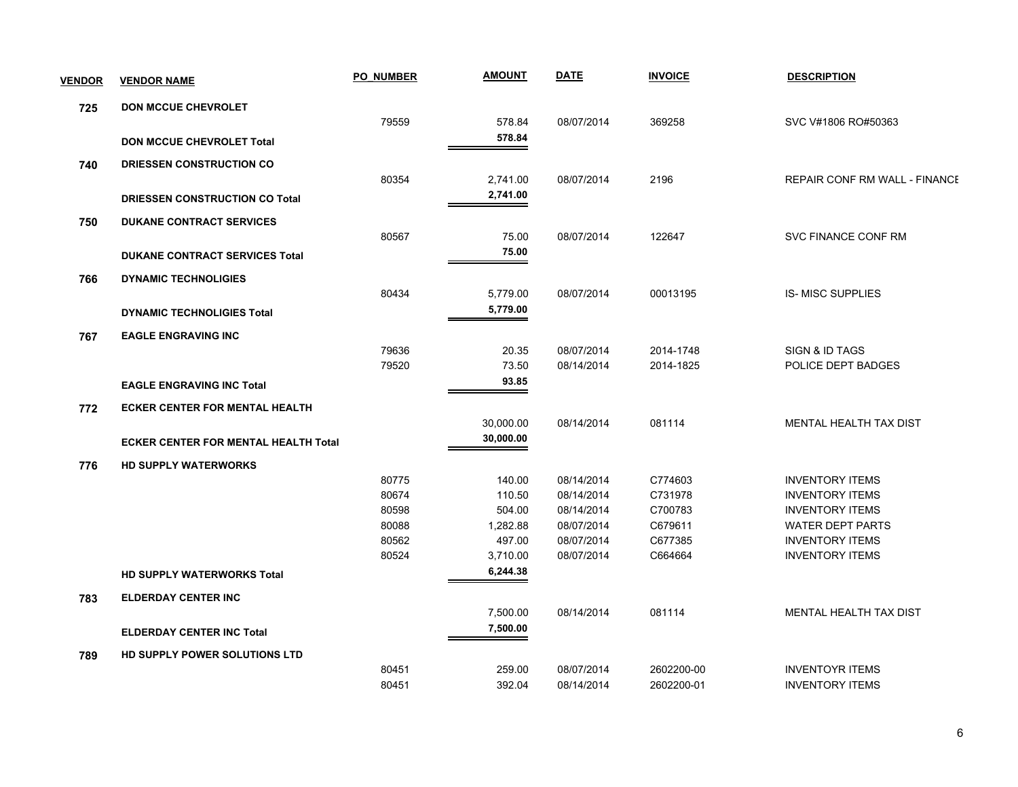| <b>VENDOR</b> | <b>VENDOR NAME</b>                          | <b>PO NUMBER</b> | <b>AMOUNT</b> | <b>DATE</b> | <b>INVOICE</b> | <b>DESCRIPTION</b>                   |
|---------------|---------------------------------------------|------------------|---------------|-------------|----------------|--------------------------------------|
| 725           | <b>DON MCCUE CHEVROLET</b>                  |                  |               |             |                |                                      |
|               |                                             | 79559            | 578.84        | 08/07/2014  | 369258         | SVC V#1806 RO#50363                  |
|               | <b>DON MCCUE CHEVROLET Total</b>            |                  | 578.84        |             |                |                                      |
| 740           | DRIESSEN CONSTRUCTION CO                    |                  |               |             |                |                                      |
|               |                                             | 80354            | 2,741.00      | 08/07/2014  | 2196           | <b>REPAIR CONF RM WALL - FINANCE</b> |
|               | <b>DRIESSEN CONSTRUCTION CO Total</b>       |                  | 2,741.00      |             |                |                                      |
| 750           | <b>DUKANE CONTRACT SERVICES</b>             |                  |               |             |                |                                      |
|               |                                             | 80567            | 75.00         | 08/07/2014  | 122647         | SVC FINANCE CONF RM                  |
|               | <b>DUKANE CONTRACT SERVICES Total</b>       |                  | 75.00         |             |                |                                      |
| 766           | <b>DYNAMIC TECHNOLIGIES</b>                 |                  |               |             |                |                                      |
|               |                                             | 80434            | 5,779.00      | 08/07/2014  | 00013195       | <b>IS-MISC SUPPLIES</b>              |
|               | <b>DYNAMIC TECHNOLIGIES Total</b>           |                  | 5,779.00      |             |                |                                      |
|               |                                             |                  |               |             |                |                                      |
| 767           | <b>EAGLE ENGRAVING INC</b>                  | 79636            | 20.35         | 08/07/2014  | 2014-1748      | SIGN & ID TAGS                       |
|               |                                             | 79520            | 73.50         | 08/14/2014  | 2014-1825      | POLICE DEPT BADGES                   |
|               | <b>EAGLE ENGRAVING INC Total</b>            |                  | 93.85         |             |                |                                      |
|               |                                             |                  |               |             |                |                                      |
| 772           | <b>ECKER CENTER FOR MENTAL HEALTH</b>       |                  |               |             |                |                                      |
|               |                                             |                  | 30,000.00     | 08/14/2014  | 081114         | MENTAL HEALTH TAX DIST               |
|               | <b>ECKER CENTER FOR MENTAL HEALTH Total</b> |                  | 30,000.00     |             |                |                                      |
| 776           | <b>HD SUPPLY WATERWORKS</b>                 |                  |               |             |                |                                      |
|               |                                             | 80775            | 140.00        | 08/14/2014  | C774603        | <b>INVENTORY ITEMS</b>               |
|               |                                             | 80674            | 110.50        | 08/14/2014  | C731978        | <b>INVENTORY ITEMS</b>               |
|               |                                             | 80598            | 504.00        | 08/14/2014  | C700783        | <b>INVENTORY ITEMS</b>               |
|               |                                             | 80088            | 1,282.88      | 08/07/2014  | C679611        | <b>WATER DEPT PARTS</b>              |
|               |                                             | 80562            | 497.00        | 08/07/2014  | C677385        | <b>INVENTORY ITEMS</b>               |
|               |                                             | 80524            | 3,710.00      | 08/07/2014  | C664664        | <b>INVENTORY ITEMS</b>               |
|               | HD SUPPLY WATERWORKS Total                  |                  | 6,244.38      |             |                |                                      |
| 783           | <b>ELDERDAY CENTER INC</b>                  |                  |               |             |                |                                      |
|               |                                             |                  | 7,500.00      | 08/14/2014  | 081114         | MENTAL HEALTH TAX DIST               |
|               | <b>ELDERDAY CENTER INC Total</b>            |                  | 7,500.00      |             |                |                                      |
| 789           | HD SUPPLY POWER SOLUTIONS LTD               |                  |               |             |                |                                      |
|               |                                             | 80451            | 259.00        | 08/07/2014  | 2602200-00     | <b>INVENTOYR ITEMS</b>               |
|               |                                             | 80451            | 392.04        | 08/14/2014  | 2602200-01     | <b>INVENTORY ITEMS</b>               |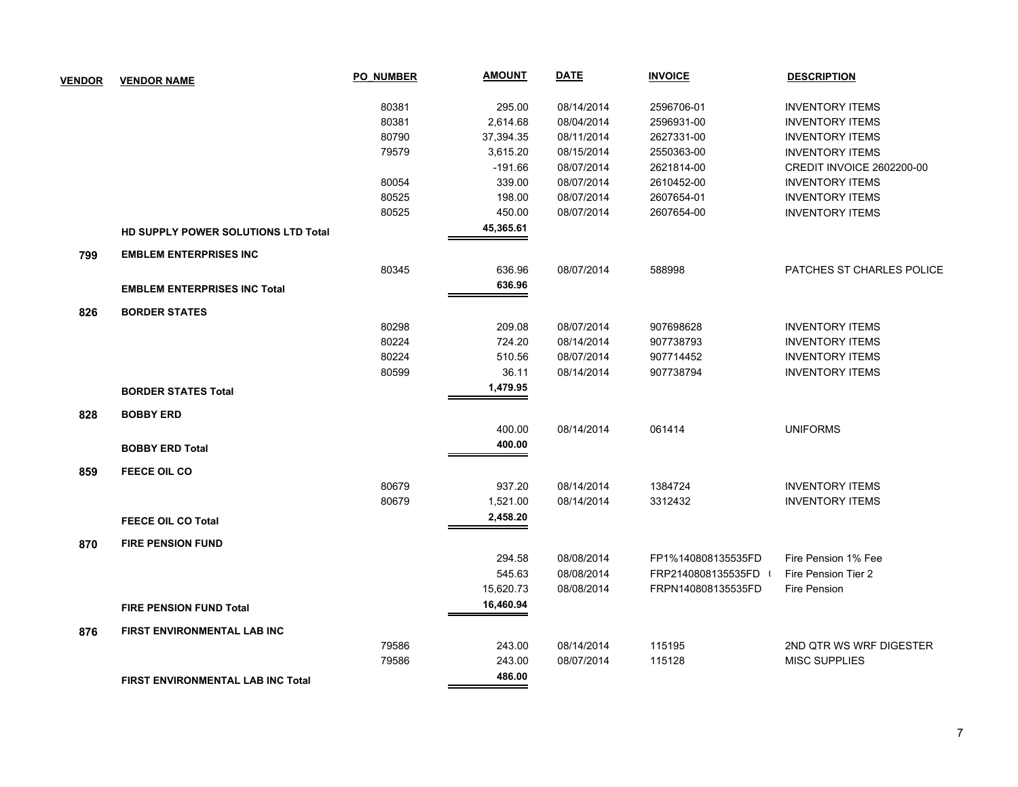| <b>VENDOR</b> | <b>VENDOR NAME</b>                  | PO NUMBER | <b>AMOUNT</b> | <b>DATE</b> | <b>INVOICE</b>     | <b>DESCRIPTION</b>               |
|---------------|-------------------------------------|-----------|---------------|-------------|--------------------|----------------------------------|
|               |                                     | 80381     | 295.00        | 08/14/2014  | 2596706-01         | <b>INVENTORY ITEMS</b>           |
|               |                                     | 80381     | 2,614.68      | 08/04/2014  | 2596931-00         | <b>INVENTORY ITEMS</b>           |
|               |                                     | 80790     | 37,394.35     | 08/11/2014  | 2627331-00         | <b>INVENTORY ITEMS</b>           |
|               |                                     | 79579     | 3,615.20      | 08/15/2014  | 2550363-00         | <b>INVENTORY ITEMS</b>           |
|               |                                     |           | $-191.66$     | 08/07/2014  | 2621814-00         | <b>CREDIT INVOICE 2602200-00</b> |
|               |                                     | 80054     | 339.00        | 08/07/2014  | 2610452-00         | <b>INVENTORY ITEMS</b>           |
|               |                                     | 80525     | 198.00        | 08/07/2014  | 2607654-01         | <b>INVENTORY ITEMS</b>           |
|               |                                     | 80525     | 450.00        | 08/07/2014  | 2607654-00         | <b>INVENTORY ITEMS</b>           |
|               | HD SUPPLY POWER SOLUTIONS LTD Total |           | 45,365.61     |             |                    |                                  |
| 799           | <b>EMBLEM ENTERPRISES INC</b>       |           |               |             |                    |                                  |
|               |                                     | 80345     | 636.96        | 08/07/2014  | 588998             | PATCHES ST CHARLES POLICE        |
|               | <b>EMBLEM ENTERPRISES INC Total</b> |           | 636.96        |             |                    |                                  |
| 826           | <b>BORDER STATES</b>                |           |               |             |                    |                                  |
|               |                                     | 80298     | 209.08        | 08/07/2014  | 907698628          | <b>INVENTORY ITEMS</b>           |
|               |                                     | 80224     | 724.20        | 08/14/2014  | 907738793          | <b>INVENTORY ITEMS</b>           |
|               |                                     | 80224     | 510.56        | 08/07/2014  | 907714452          | <b>INVENTORY ITEMS</b>           |
|               |                                     | 80599     | 36.11         | 08/14/2014  | 907738794          | <b>INVENTORY ITEMS</b>           |
|               | <b>BORDER STATES Total</b>          |           | 1,479.95      |             |                    |                                  |
| 828           | <b>BOBBY ERD</b>                    |           |               |             |                    |                                  |
|               |                                     |           | 400.00        | 08/14/2014  | 061414             | <b>UNIFORMS</b>                  |
|               | <b>BOBBY ERD Total</b>              |           | 400.00        |             |                    |                                  |
| 859           | <b>FEECE OIL CO</b>                 |           |               |             |                    |                                  |
|               |                                     | 80679     | 937.20        | 08/14/2014  | 1384724            | <b>INVENTORY ITEMS</b>           |
|               |                                     | 80679     | 1,521.00      | 08/14/2014  | 3312432            | <b>INVENTORY ITEMS</b>           |
|               | <b>FEECE OIL CO Total</b>           |           | 2,458.20      |             |                    |                                  |
| 870           | <b>FIRE PENSION FUND</b>            |           |               |             |                    |                                  |
|               |                                     |           | 294.58        | 08/08/2014  | FP1%140808135535FD | Fire Pension 1% Fee              |
|               |                                     |           | 545.63        | 08/08/2014  | FRP2140808135535FD | Fire Pension Tier 2              |
|               |                                     |           | 15,620.73     | 08/08/2014  | FRPN140808135535FD | Fire Pension                     |
|               | <b>FIRE PENSION FUND Total</b>      |           | 16,460.94     |             |                    |                                  |
| 876           | FIRST ENVIRONMENTAL LAB INC         |           |               |             |                    |                                  |
|               |                                     | 79586     | 243.00        | 08/14/2014  | 115195             | 2ND QTR WS WRF DIGESTER          |
|               |                                     | 79586     | 243.00        | 08/07/2014  | 115128             | <b>MISC SUPPLIES</b>             |
|               | FIRST ENVIRONMENTAL LAB INC Total   |           | 486.00        |             |                    |                                  |
|               |                                     |           |               |             |                    |                                  |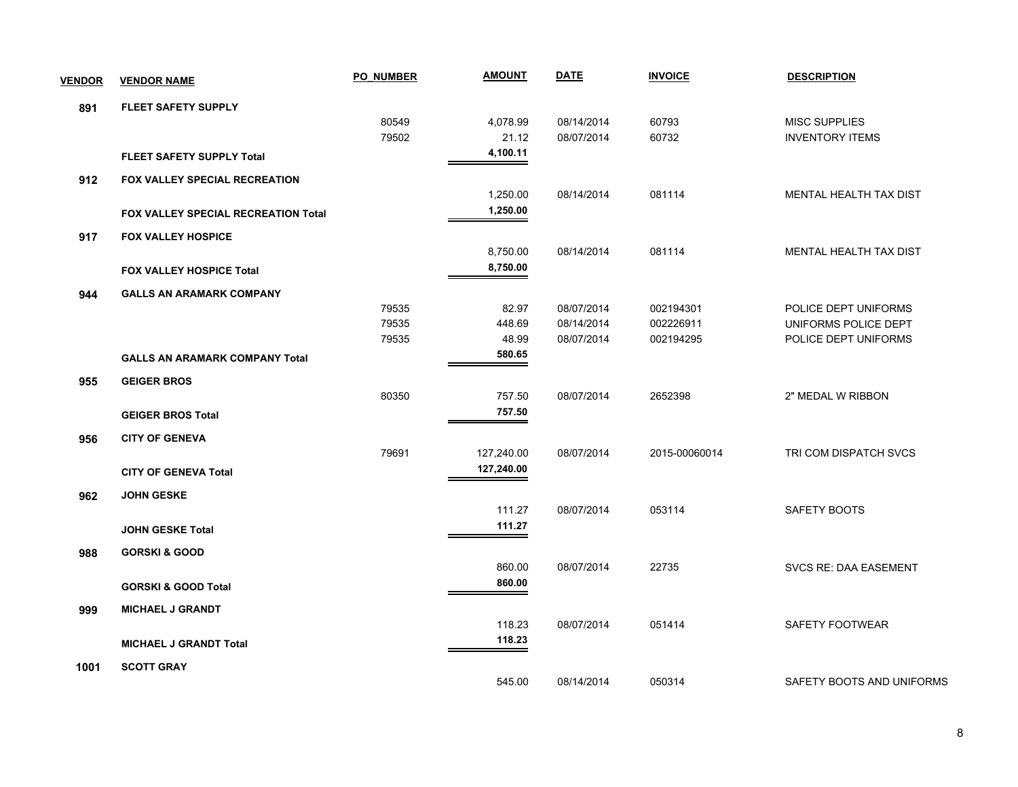| <b>VENDOR</b> | <b>VENDOR NAME</b>                    | <b>PO NUMBER</b> | <b>AMOUNT</b> | <b>DATE</b> | <b>INVOICE</b> | <b>DESCRIPTION</b>            |
|---------------|---------------------------------------|------------------|---------------|-------------|----------------|-------------------------------|
| 891           | <b>FLEET SAFETY SUPPLY</b>            |                  |               |             |                |                               |
|               |                                       | 80549            | 4,078.99      | 08/14/2014  | 60793          | <b>MISC SUPPLIES</b>          |
|               |                                       | 79502            | 21.12         | 08/07/2014  | 60732          | <b>INVENTORY ITEMS</b>        |
|               | <b>FLEET SAFETY SUPPLY Total</b>      |                  | 4,100.11      |             |                |                               |
| 912           | <b>FOX VALLEY SPECIAL RECREATION</b>  |                  |               |             |                |                               |
|               |                                       |                  | 1,250.00      | 08/14/2014  | 081114         | <b>MENTAL HEALTH TAX DIST</b> |
|               | FOX VALLEY SPECIAL RECREATION Total   |                  | 1,250.00      |             |                |                               |
| 917           | <b>FOX VALLEY HOSPICE</b>             |                  |               |             |                |                               |
|               |                                       |                  | 8,750.00      | 08/14/2014  | 081114         | MENTAL HEALTH TAX DIST        |
|               | <b>FOX VALLEY HOSPICE Total</b>       |                  | 8,750.00      |             |                |                               |
| 944           | <b>GALLS AN ARAMARK COMPANY</b>       |                  |               |             |                |                               |
|               |                                       | 79535            | 82.97         | 08/07/2014  | 002194301      | POLICE DEPT UNIFORMS          |
|               |                                       | 79535            | 448.69        | 08/14/2014  | 002226911      | UNIFORMS POLICE DEPT          |
|               |                                       | 79535            | 48.99         | 08/07/2014  | 002194295      | POLICE DEPT UNIFORMS          |
|               | <b>GALLS AN ARAMARK COMPANY Total</b> |                  | 580.65        |             |                |                               |
| 955           | <b>GEIGER BROS</b>                    |                  |               |             |                |                               |
|               |                                       | 80350            | 757.50        | 08/07/2014  | 2652398        | 2" MEDAL W RIBBON             |
|               | <b>GEIGER BROS Total</b>              |                  | 757.50        |             |                |                               |
| 956           | <b>CITY OF GENEVA</b>                 |                  |               |             |                |                               |
|               |                                       | 79691            | 127,240.00    | 08/07/2014  | 2015-00060014  | TRI COM DISPATCH SVCS         |
|               | <b>CITY OF GENEVA Total</b>           |                  | 127,240.00    |             |                |                               |
| 962           | <b>JOHN GESKE</b>                     |                  |               |             |                |                               |
|               |                                       |                  | 111.27        | 08/07/2014  | 053114         | SAFETY BOOTS                  |
|               | <b>JOHN GESKE Total</b>               |                  | 111.27        |             |                |                               |
| 988           | <b>GORSKI &amp; GOOD</b>              |                  |               |             |                |                               |
|               |                                       |                  | 860.00        | 08/07/2014  | 22735          | <b>SVCS RE: DAA EASEMENT</b>  |
|               | <b>GORSKI &amp; GOOD Total</b>        |                  | 860.00        |             |                |                               |
| 999           | <b>MICHAEL J GRANDT</b>               |                  |               |             |                |                               |
|               |                                       |                  | 118.23        | 08/07/2014  | 051414         | SAFETY FOOTWEAR               |
|               | <b>MICHAEL J GRANDT Total</b>         |                  | 118.23        |             |                |                               |
| 1001          | <b>SCOTT GRAY</b>                     |                  |               |             |                |                               |
|               |                                       |                  | 545.00        | 08/14/2014  | 050314         | SAFETY BOOTS AND UNIFORMS     |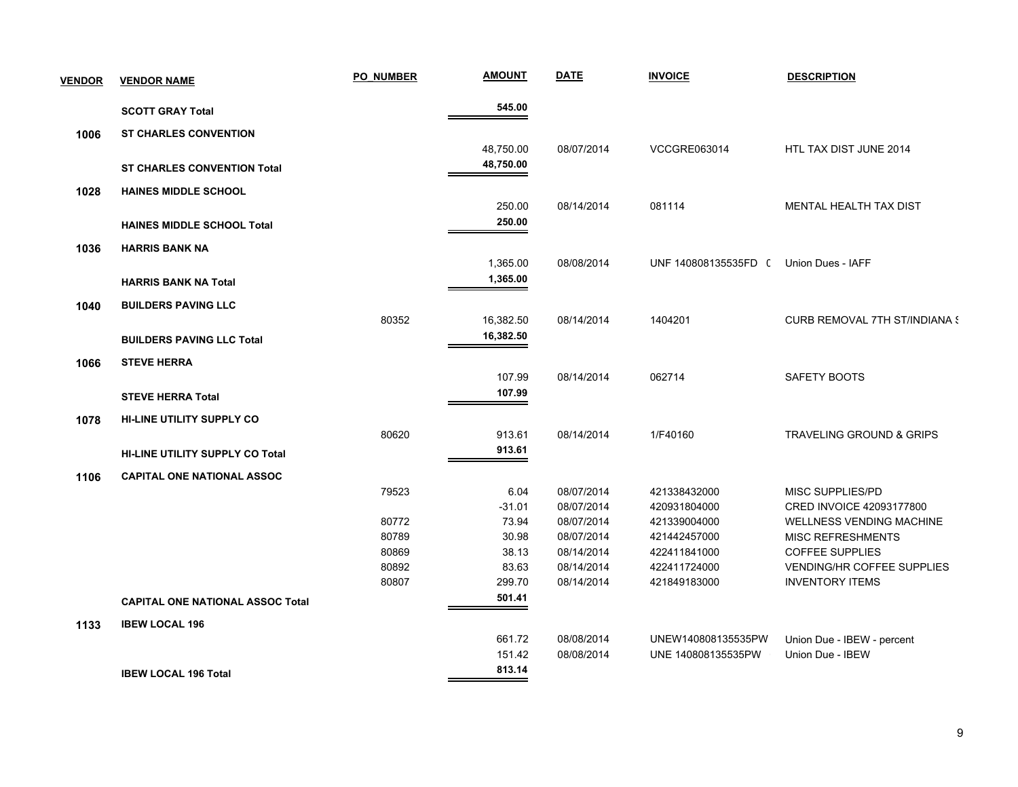| <b>VENDOR</b> | <b>VENDOR NAME</b>                      | <b>PO NUMBER</b> | <b>AMOUNT</b> | <b>DATE</b> | <b>INVOICE</b>       | <b>DESCRIPTION</b>                   |
|---------------|-----------------------------------------|------------------|---------------|-------------|----------------------|--------------------------------------|
|               | <b>SCOTT GRAY Total</b>                 |                  | 545.00        |             |                      |                                      |
| 1006          | <b>ST CHARLES CONVENTION</b>            |                  |               |             |                      |                                      |
|               |                                         |                  | 48,750.00     | 08/07/2014  | <b>VCCGRE063014</b>  | HTL TAX DIST JUNE 2014               |
|               | <b>ST CHARLES CONVENTION Total</b>      |                  | 48,750.00     |             |                      |                                      |
| 1028          | <b>HAINES MIDDLE SCHOOL</b>             |                  |               |             |                      |                                      |
|               |                                         |                  | 250.00        | 08/14/2014  | 081114               | MENTAL HEALTH TAX DIST               |
|               | <b>HAINES MIDDLE SCHOOL Total</b>       |                  | 250.00        |             |                      |                                      |
| 1036          | <b>HARRIS BANK NA</b>                   |                  |               |             |                      |                                      |
|               |                                         |                  | 1,365.00      | 08/08/2014  | UNF 140808135535FD ( | Union Dues - IAFF                    |
|               | <b>HARRIS BANK NA Total</b>             |                  | 1,365.00      |             |                      |                                      |
| 1040          | <b>BUILDERS PAVING LLC</b>              |                  |               |             |                      |                                      |
|               |                                         | 80352            | 16,382.50     | 08/14/2014  | 1404201              | <b>CURB REMOVAL 7TH ST/INDIANA S</b> |
|               | <b>BUILDERS PAVING LLC Total</b>        |                  | 16,382.50     |             |                      |                                      |
| 1066          | <b>STEVE HERRA</b>                      |                  |               |             |                      |                                      |
|               |                                         |                  | 107.99        | 08/14/2014  | 062714               | SAFETY BOOTS                         |
|               | <b>STEVE HERRA Total</b>                |                  | 107.99        |             |                      |                                      |
| 1078          | <b>HI-LINE UTILITY SUPPLY CO</b>        |                  |               |             |                      |                                      |
|               |                                         | 80620            | 913.61        | 08/14/2014  | 1/F40160             | TRAVELING GROUND & GRIPS             |
|               | <b>HI-LINE UTILITY SUPPLY CO Total</b>  |                  | 913.61        |             |                      |                                      |
| 1106          | <b>CAPITAL ONE NATIONAL ASSOC</b>       |                  |               |             |                      |                                      |
|               |                                         | 79523            | 6.04          | 08/07/2014  | 421338432000         | MISC SUPPLIES/PD                     |
|               |                                         |                  | $-31.01$      | 08/07/2014  | 420931804000         | CRED INVOICE 42093177800             |
|               |                                         | 80772            | 73.94         | 08/07/2014  | 421339004000         | <b>WELLNESS VENDING MACHINE</b>      |
|               |                                         | 80789            | 30.98         | 08/07/2014  | 421442457000         | <b>MISC REFRESHMENTS</b>             |
|               |                                         | 80869            | 38.13         | 08/14/2014  | 422411841000         | COFFEE SUPPLIES                      |
|               |                                         | 80892            | 83.63         | 08/14/2014  | 422411724000         | VENDING/HR COFFEE SUPPLIES           |
|               |                                         | 80807            | 299.70        | 08/14/2014  | 421849183000         | <b>INVENTORY ITEMS</b>               |
|               | <b>CAPITAL ONE NATIONAL ASSOC Total</b> |                  | 501.41        |             |                      |                                      |
| 1133          | <b>IBEW LOCAL 196</b>                   |                  |               |             |                      |                                      |
|               |                                         |                  | 661.72        | 08/08/2014  | UNEW140808135535PW   | Union Due - IBEW - percent           |
|               |                                         |                  | 151.42        | 08/08/2014  | UNE 140808135535PW   | Union Due - IBEW                     |
|               | <b>IBEW LOCAL 196 Total</b>             |                  | 813.14        |             |                      |                                      |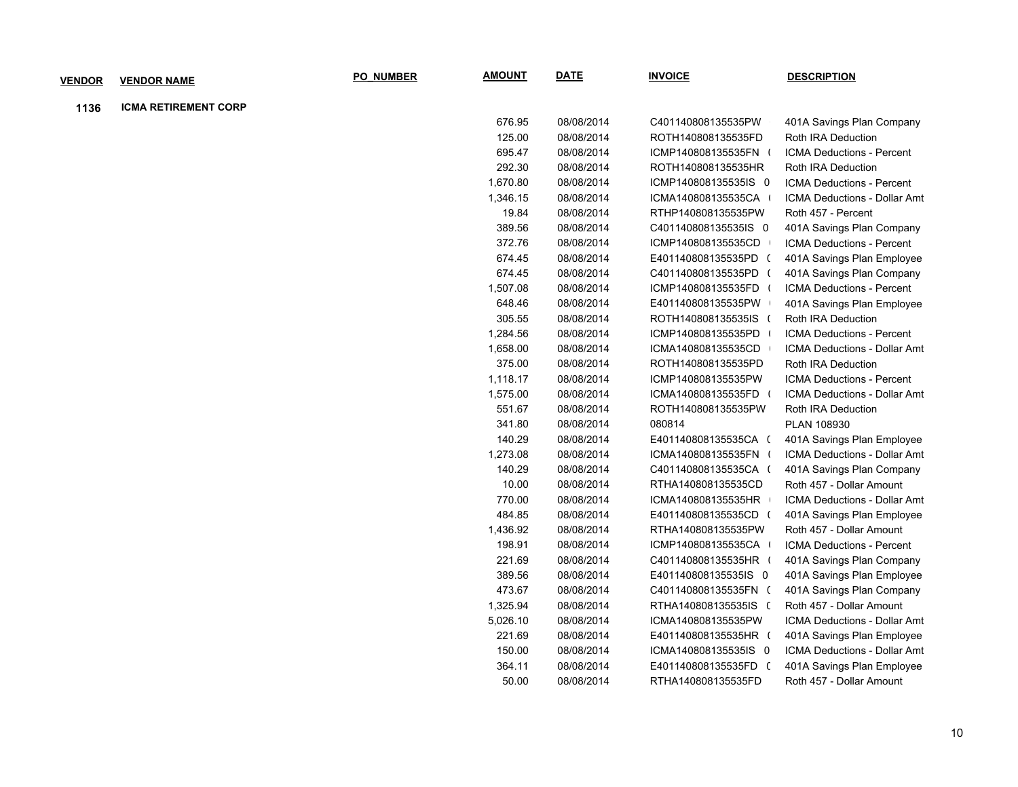| <b>VENDOR</b> | <b>VENDOR NAME</b>          | <b>PO NUMBER</b> | <b>AMOUNT</b> | <u>DATE</u> | <b>INVOICE</b>       | <b>DESCRIPTION</b>           |
|---------------|-----------------------------|------------------|---------------|-------------|----------------------|------------------------------|
| 1136          | <b>ICMA RETIREMENT CORP</b> |                  |               |             |                      |                              |
|               |                             |                  | 676.95        | 08/08/2014  | C401140808135535PW   | 401A Savings Plan Company    |
|               |                             |                  | 125.00        | 08/08/2014  | ROTH140808135535FD   | Roth IRA Deduction           |
|               |                             |                  | 695.47        | 08/08/2014  | ICMP140808135535FN   | ICMA Deductions - Percent    |
|               |                             |                  | 292.30        | 08/08/2014  | ROTH140808135535HR   | Roth IRA Deduction           |
|               |                             |                  | 1,670.80      | 08/08/2014  | ICMP140808135535IS 0 | ICMA Deductions - Percent    |
|               |                             |                  | 1,346.15      | 08/08/2014  | ICMA140808135535CA   | ICMA Deductions - Dollar Amt |
|               |                             |                  | 19.84         | 08/08/2014  | RTHP140808135535PW   | Roth 457 - Percent           |
|               |                             |                  | 389.56        | 08/08/2014  | C401140808135535IS 0 | 401A Savings Plan Company    |
|               |                             |                  | 372.76        | 08/08/2014  | ICMP140808135535CD   | ICMA Deductions - Percent    |
|               |                             |                  | 674.45        | 08/08/2014  | E401140808135535PD ( | 401A Savings Plan Employee   |
|               |                             |                  | 674.45        | 08/08/2014  | C401140808135535PD ( | 401A Savings Plan Company    |
|               |                             |                  | 1,507.08      | 08/08/2014  | ICMP140808135535FD   | ICMA Deductions - Percent    |
|               |                             |                  | 648.46        | 08/08/2014  | E401140808135535PW   | 401A Savings Plan Employee   |
|               |                             |                  | 305.55        | 08/08/2014  | ROTH140808135535IS   | Roth IRA Deduction           |
|               |                             |                  | 1,284.56      | 08/08/2014  | ICMP140808135535PD   | ICMA Deductions - Percent    |
|               |                             |                  | 1,658.00      | 08/08/2014  | ICMA140808135535CD   | ICMA Deductions - Dollar Amt |
|               |                             |                  | 375.00        | 08/08/2014  | ROTH140808135535PD   | Roth IRA Deduction           |
|               |                             |                  | 1,118.17      | 08/08/2014  | ICMP140808135535PW   | ICMA Deductions - Percent    |
|               |                             |                  | 1,575.00      | 08/08/2014  | ICMA140808135535FD   | ICMA Deductions - Dollar Amt |
|               |                             |                  | 551.67        | 08/08/2014  | ROTH140808135535PW   | Roth IRA Deduction           |
|               |                             |                  | 341.80        | 08/08/2014  | 080814               | PLAN 108930                  |
|               |                             |                  | 140.29        | 08/08/2014  | E401140808135535CA ( | 401A Savings Plan Employee   |
|               |                             |                  | 1,273.08      | 08/08/2014  | ICMA140808135535FN   | ICMA Deductions - Dollar Amt |
|               |                             |                  | 140.29        | 08/08/2014  | C401140808135535CA ( | 401A Savings Plan Company    |
|               |                             |                  | 10.00         | 08/08/2014  | RTHA140808135535CD   | Roth 457 - Dollar Amount     |
|               |                             |                  | 770.00        | 08/08/2014  | ICMA140808135535HR   | ICMA Deductions - Dollar Amt |
|               |                             |                  | 484.85        | 08/08/2014  | E401140808135535CD ( | 401A Savings Plan Employee   |
|               |                             |                  | 1,436.92      | 08/08/2014  | RTHA140808135535PW   | Roth 457 - Dollar Amount     |
|               |                             |                  | 198.91        | 08/08/2014  | ICMP140808135535CA   | ICMA Deductions - Percent    |
|               |                             |                  | 221.69        | 08/08/2014  | C401140808135535HR   | 401A Savings Plan Company    |
|               |                             |                  | 389.56        | 08/08/2014  | E401140808135535IS 0 | 401A Savings Plan Employee   |
|               |                             |                  | 473.67        | 08/08/2014  | C401140808135535FN ( | 401A Savings Plan Company    |
|               |                             |                  | 1,325.94      | 08/08/2014  | RTHA140808135535IS ( | Roth 457 - Dollar Amount     |
|               |                             |                  | 5,026.10      | 08/08/2014  | ICMA140808135535PW   | ICMA Deductions - Dollar Amt |
|               |                             |                  | 221.69        | 08/08/2014  | E401140808135535HR ( | 401A Savings Plan Employee   |
|               |                             |                  | 150.00        | 08/08/2014  | ICMA140808135535IS 0 | ICMA Deductions - Dollar Amt |
|               |                             |                  | 364.11        | 08/08/2014  | E401140808135535FD ( | 401A Savings Plan Employee   |
|               |                             |                  | 50.00         | 08/08/2014  | RTHA140808135535FD   | Roth 457 - Dollar Amount     |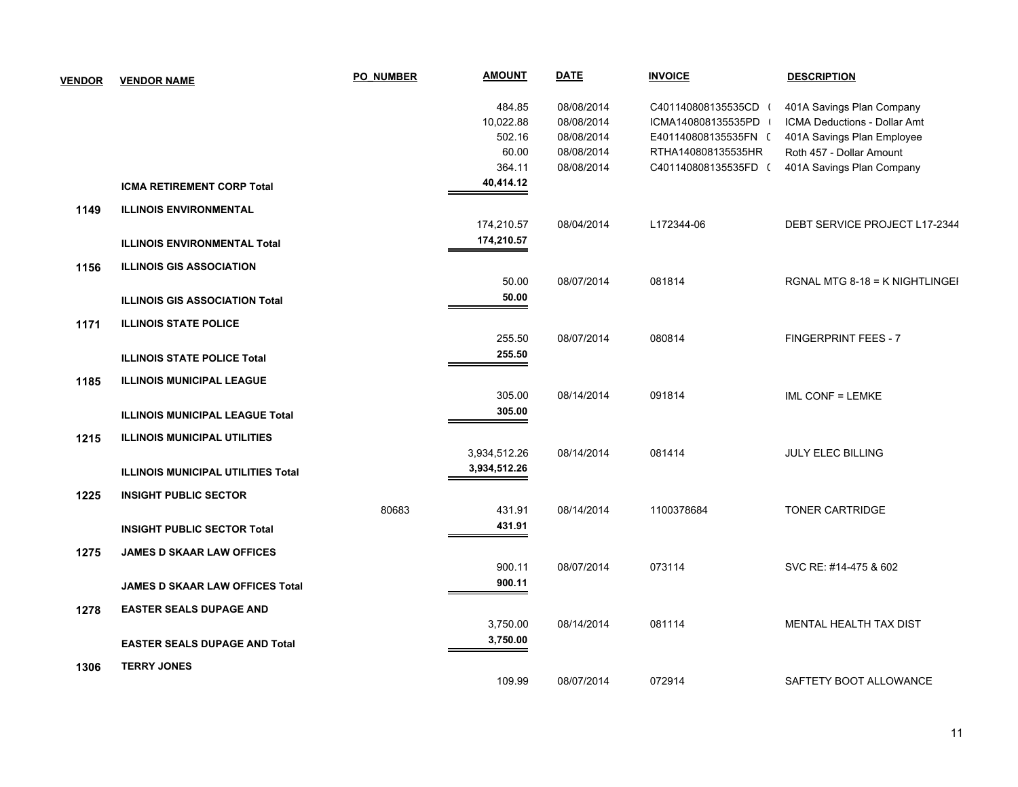| <b>VENDOR</b> | <b>VENDOR NAME</b>                        | <b>PO NUMBER</b> | <b>AMOUNT</b> | <b>DATE</b> | <b>INVOICE</b>       | <b>DESCRIPTION</b>             |
|---------------|-------------------------------------------|------------------|---------------|-------------|----------------------|--------------------------------|
|               |                                           |                  | 484.85        | 08/08/2014  | C401140808135535CD ( | 401A Savings Plan Company      |
|               |                                           |                  | 10,022.88     | 08/08/2014  | ICMA140808135535PD   | ICMA Deductions - Dollar Amt   |
|               |                                           |                  | 502.16        | 08/08/2014  | E401140808135535FN ( | 401A Savings Plan Employee     |
|               |                                           |                  | 60.00         | 08/08/2014  | RTHA140808135535HR   | Roth 457 - Dollar Amount       |
|               |                                           |                  | 364.11        | 08/08/2014  | C401140808135535FD ( | 401A Savings Plan Company      |
|               | <b>ICMA RETIREMENT CORP Total</b>         |                  | 40,414.12     |             |                      |                                |
| 1149          | <b>ILLINOIS ENVIRONMENTAL</b>             |                  |               |             |                      |                                |
|               |                                           |                  | 174,210.57    | 08/04/2014  | L172344-06           | DEBT SERVICE PROJECT L17-2344  |
|               | <b>ILLINOIS ENVIRONMENTAL Total</b>       |                  | 174,210.57    |             |                      |                                |
| 1156          | <b>ILLINOIS GIS ASSOCIATION</b>           |                  |               |             |                      |                                |
|               |                                           |                  | 50.00         | 08/07/2014  | 081814               | RGNAL MTG 8-18 = K NIGHTLINGEI |
|               | <b>ILLINOIS GIS ASSOCIATION Total</b>     |                  | 50.00         |             |                      |                                |
| 1171          | <b>ILLINOIS STATE POLICE</b>              |                  |               |             |                      |                                |
|               |                                           |                  | 255.50        | 08/07/2014  | 080814               | <b>FINGERPRINT FEES - 7</b>    |
|               | <b>ILLINOIS STATE POLICE Total</b>        |                  | 255.50        |             |                      |                                |
| 1185          | <b>ILLINOIS MUNICIPAL LEAGUE</b>          |                  |               |             |                      |                                |
|               |                                           |                  | 305.00        | 08/14/2014  | 091814               | IML CONF = LEMKE               |
|               | <b>ILLINOIS MUNICIPAL LEAGUE Total</b>    |                  | 305.00        |             |                      |                                |
| 1215          | <b>ILLINOIS MUNICIPAL UTILITIES</b>       |                  |               |             |                      |                                |
|               |                                           |                  | 3,934,512.26  | 08/14/2014  | 081414               | <b>JULY ELEC BILLING</b>       |
|               | <b>ILLINOIS MUNICIPAL UTILITIES Total</b> |                  | 3,934,512.26  |             |                      |                                |
| 1225          | <b>INSIGHT PUBLIC SECTOR</b>              |                  |               |             |                      |                                |
|               |                                           | 80683            | 431.91        | 08/14/2014  | 1100378684           | <b>TONER CARTRIDGE</b>         |
|               | <b>INSIGHT PUBLIC SECTOR Total</b>        |                  | 431.91        |             |                      |                                |
| 1275          | <b>JAMES D SKAAR LAW OFFICES</b>          |                  |               |             |                      |                                |
|               |                                           |                  | 900.11        | 08/07/2014  | 073114               | SVC RE: #14-475 & 602          |
|               | <b>JAMES D SKAAR LAW OFFICES Total</b>    |                  | 900.11        |             |                      |                                |
| 1278          | <b>EASTER SEALS DUPAGE AND</b>            |                  |               |             |                      |                                |
|               |                                           |                  | 3,750.00      | 08/14/2014  | 081114               | MENTAL HEALTH TAX DIST         |
|               | <b>EASTER SEALS DUPAGE AND Total</b>      |                  | 3,750.00      |             |                      |                                |
| 1306          | <b>TERRY JONES</b>                        |                  |               |             |                      |                                |
|               |                                           |                  | 109.99        | 08/07/2014  | 072914               | SAFTETY BOOT ALLOWANCE         |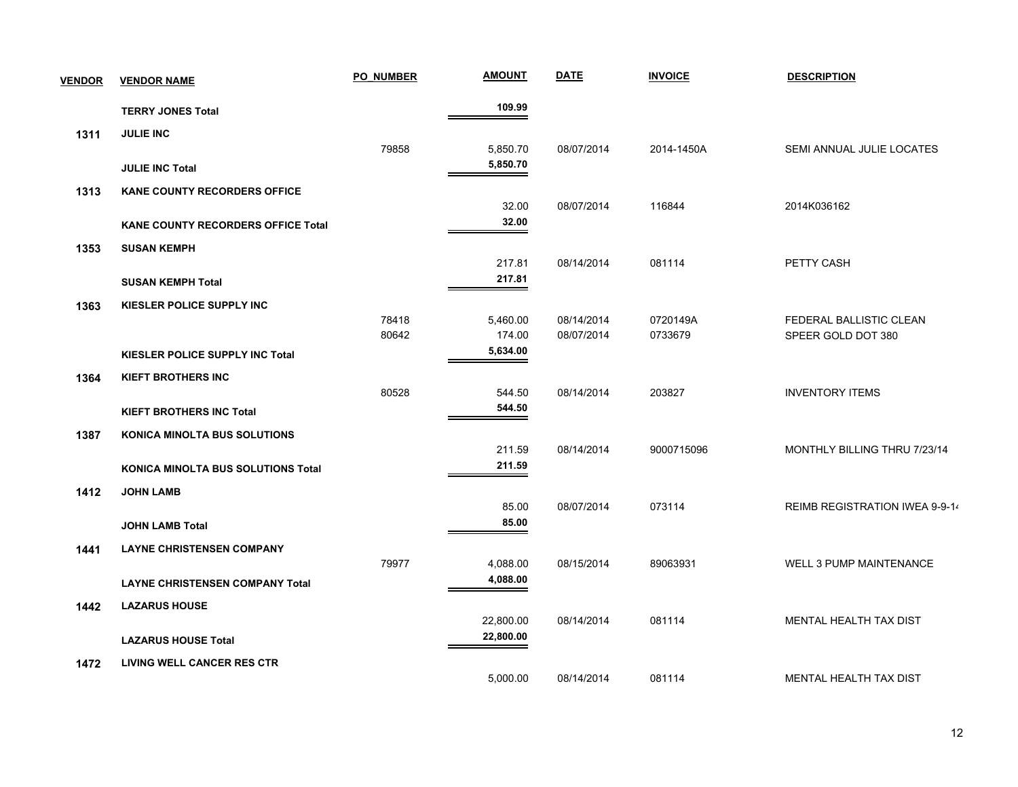| <b>VENDOR</b> | <b>VENDOR NAME</b>                        | <b>PO NUMBER</b> | <b>AMOUNT</b> | <b>DATE</b> | <b>INVOICE</b> | <b>DESCRIPTION</b>             |
|---------------|-------------------------------------------|------------------|---------------|-------------|----------------|--------------------------------|
|               | <b>TERRY JONES Total</b>                  |                  | 109.99        |             |                |                                |
| 1311          | <b>JULIE INC</b>                          |                  |               |             |                |                                |
|               |                                           | 79858            | 5,850.70      | 08/07/2014  | 2014-1450A     | SEMI ANNUAL JULIE LOCATES      |
|               | <b>JULIE INC Total</b>                    |                  | 5,850.70      |             |                |                                |
| 1313          | <b>KANE COUNTY RECORDERS OFFICE</b>       |                  |               |             |                |                                |
|               |                                           |                  | 32.00         | 08/07/2014  | 116844         | 2014K036162                    |
|               | <b>KANE COUNTY RECORDERS OFFICE Total</b> |                  | 32.00         |             |                |                                |
| 1353          | <b>SUSAN KEMPH</b>                        |                  |               |             |                |                                |
|               |                                           |                  | 217.81        | 08/14/2014  | 081114         | PETTY CASH                     |
|               | <b>SUSAN KEMPH Total</b>                  |                  | 217.81        |             |                |                                |
| 1363          | KIESLER POLICE SUPPLY INC                 |                  |               |             |                |                                |
|               |                                           | 78418            | 5,460.00      | 08/14/2014  | 0720149A       | FEDERAL BALLISTIC CLEAN        |
|               |                                           | 80642            | 174.00        | 08/07/2014  | 0733679        | SPEER GOLD DOT 380             |
|               | KIESLER POLICE SUPPLY INC Total           |                  | 5,634.00      |             |                |                                |
| 1364          | <b>KIEFT BROTHERS INC</b>                 |                  |               |             |                |                                |
|               |                                           | 80528            | 544.50        | 08/14/2014  | 203827         | <b>INVENTORY ITEMS</b>         |
|               | <b>KIEFT BROTHERS INC Total</b>           |                  | 544.50        |             |                |                                |
| 1387          | <b>KONICA MINOLTA BUS SOLUTIONS</b>       |                  |               |             |                |                                |
|               |                                           |                  | 211.59        | 08/14/2014  | 9000715096     | MONTHLY BILLING THRU 7/23/14   |
|               | <b>KONICA MINOLTA BUS SOLUTIONS Total</b> |                  | 211.59        |             |                |                                |
| 1412          | <b>JOHN LAMB</b>                          |                  |               |             |                |                                |
|               |                                           |                  | 85.00         | 08/07/2014  | 073114         | REIMB REGISTRATION IWEA 9-9-14 |
|               | <b>JOHN LAMB Total</b>                    |                  | 85.00         |             |                |                                |
| 1441          | <b>LAYNE CHRISTENSEN COMPANY</b>          |                  |               |             |                |                                |
|               |                                           | 79977            | 4,088.00      | 08/15/2014  | 89063931       | WELL 3 PUMP MAINTENANCE        |
|               | <b>LAYNE CHRISTENSEN COMPANY Total</b>    |                  | 4,088.00      |             |                |                                |
| 1442          | <b>LAZARUS HOUSE</b>                      |                  |               |             |                |                                |
|               |                                           |                  | 22,800.00     | 08/14/2014  | 081114         | MENTAL HEALTH TAX DIST         |
|               | <b>LAZARUS HOUSE Total</b>                |                  | 22,800.00     |             |                |                                |
| 1472          | LIVING WELL CANCER RES CTR                |                  |               |             |                |                                |
|               |                                           |                  | 5,000.00      | 08/14/2014  | 081114         | MENTAL HEALTH TAX DIST         |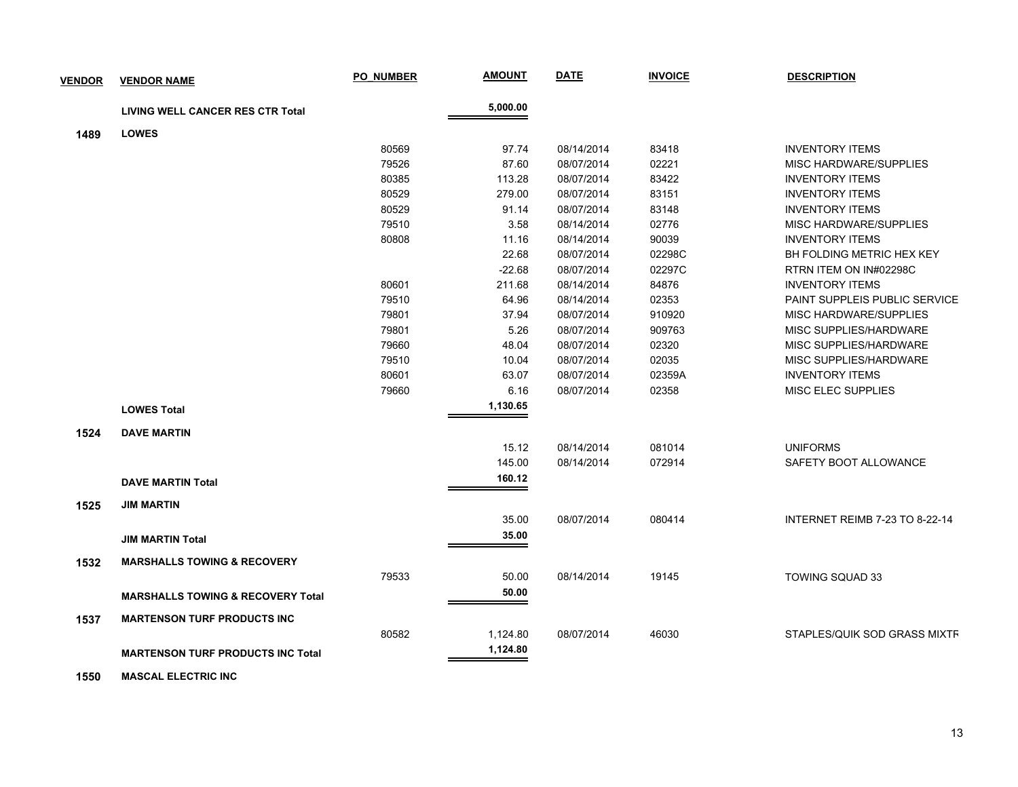| <b>VENDOR</b> | <b>VENDOR NAME</b>                           | <b>PO NUMBER</b> | <b>AMOUNT</b> | <b>DATE</b> | <b>INVOICE</b> | <b>DESCRIPTION</b>                   |
|---------------|----------------------------------------------|------------------|---------------|-------------|----------------|--------------------------------------|
|               |                                              |                  |               |             |                |                                      |
|               | <b>LIVING WELL CANCER RES CTR Total</b>      |                  | 5,000.00      |             |                |                                      |
| 1489          | <b>LOWES</b>                                 |                  |               |             |                |                                      |
|               |                                              | 80569            | 97.74         | 08/14/2014  | 83418          | <b>INVENTORY ITEMS</b>               |
|               |                                              | 79526            | 87.60         | 08/07/2014  | 02221          | MISC HARDWARE/SUPPLIES               |
|               |                                              | 80385            | 113.28        | 08/07/2014  | 83422          | <b>INVENTORY ITEMS</b>               |
|               |                                              | 80529            | 279.00        | 08/07/2014  | 83151          | <b>INVENTORY ITEMS</b>               |
|               |                                              | 80529            | 91.14         | 08/07/2014  | 83148          | <b>INVENTORY ITEMS</b>               |
|               |                                              | 79510            | 3.58          | 08/14/2014  | 02776          | MISC HARDWARE/SUPPLIES               |
|               |                                              | 80808            | 11.16         | 08/14/2014  | 90039          | <b>INVENTORY ITEMS</b>               |
|               |                                              |                  | 22.68         | 08/07/2014  | 02298C         | <b>BH FOLDING METRIC HEX KEY</b>     |
|               |                                              |                  | $-22.68$      | 08/07/2014  | 02297C         | RTRN ITEM ON IN#02298C               |
|               |                                              | 80601            | 211.68        | 08/14/2014  | 84876          | <b>INVENTORY ITEMS</b>               |
|               |                                              | 79510            | 64.96         | 08/14/2014  | 02353          | <b>PAINT SUPPLEIS PUBLIC SERVICE</b> |
|               |                                              | 79801            | 37.94         | 08/07/2014  | 910920         | MISC HARDWARE/SUPPLIES               |
|               |                                              | 79801            | 5.26          | 08/07/2014  | 909763         | MISC SUPPLIES/HARDWARE               |
|               |                                              | 79660            | 48.04         | 08/07/2014  | 02320          | MISC SUPPLIES/HARDWARE               |
|               |                                              | 79510            | 10.04         | 08/07/2014  | 02035          | MISC SUPPLIES/HARDWARE               |
|               |                                              | 80601            | 63.07         | 08/07/2014  | 02359A         | <b>INVENTORY ITEMS</b>               |
|               |                                              | 79660            | 6.16          | 08/07/2014  | 02358          | <b>MISC ELEC SUPPLIES</b>            |
|               | <b>LOWES Total</b>                           |                  | 1,130.65      |             |                |                                      |
| 1524          | <b>DAVE MARTIN</b>                           |                  |               |             |                |                                      |
|               |                                              |                  | 15.12         | 08/14/2014  | 081014         | <b>UNIFORMS</b>                      |
|               |                                              |                  | 145.00        | 08/14/2014  | 072914         | SAFETY BOOT ALLOWANCE                |
|               | <b>DAVE MARTIN Total</b>                     |                  | 160.12        |             |                |                                      |
|               |                                              |                  |               |             |                |                                      |
| 1525          | <b>JIM MARTIN</b>                            |                  |               |             |                |                                      |
|               |                                              |                  | 35.00         | 08/07/2014  | 080414         | INTERNET REIMB 7-23 TO 8-22-14       |
|               | <b>JIM MARTIN Total</b>                      |                  | 35.00         |             |                |                                      |
| 1532          | <b>MARSHALLS TOWING &amp; RECOVERY</b>       |                  |               |             |                |                                      |
|               |                                              | 79533            | 50.00         | 08/14/2014  | 19145          | <b>TOWING SQUAD 33</b>               |
|               | <b>MARSHALLS TOWING &amp; RECOVERY Total</b> |                  | 50.00         |             |                |                                      |
|               |                                              |                  |               |             |                |                                      |
| 1537          | <b>MARTENSON TURF PRODUCTS INC</b>           |                  |               |             |                |                                      |
|               |                                              | 80582            | 1,124.80      | 08/07/2014  | 46030          | STAPLES/QUIK SOD GRASS MIXTF         |
|               | <b>MARTENSON TURF PRODUCTS INC Total</b>     |                  | 1,124.80      |             |                |                                      |
|               |                                              |                  |               |             |                |                                      |

 **1550 MASCAL ELECTRIC INC**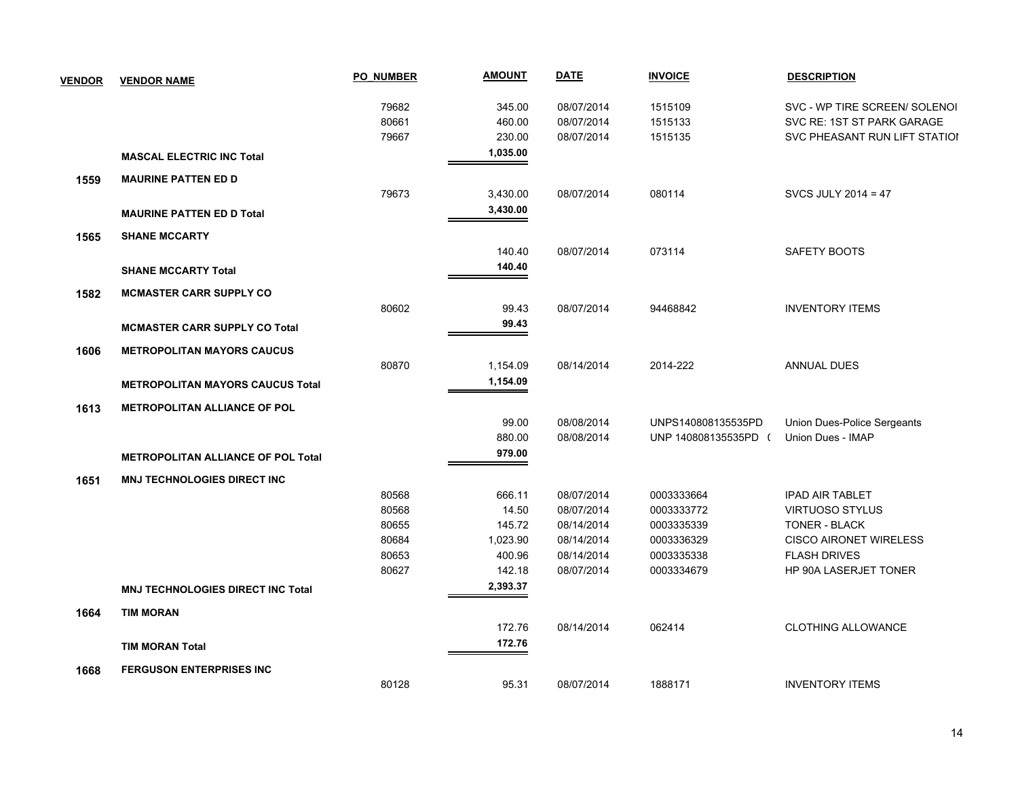| <b>VENDOR</b> | <b>VENDOR NAME</b>                        | <b>PO NUMBER</b> | <b>AMOUNT</b> | <b>DATE</b> | <b>INVOICE</b>       | <b>DESCRIPTION</b>            |
|---------------|-------------------------------------------|------------------|---------------|-------------|----------------------|-------------------------------|
|               |                                           | 79682            | 345.00        | 08/07/2014  | 1515109              | SVC - WP TIRE SCREEN/ SOLENOI |
|               |                                           | 80661            | 460.00        | 08/07/2014  | 1515133              | SVC RE: 1ST ST PARK GARAGE    |
|               |                                           | 79667            | 230.00        | 08/07/2014  | 1515135              | SVC PHEASANT RUN LIFT STATIOI |
|               | <b>MASCAL ELECTRIC INC Total</b>          |                  | 1,035.00      |             |                      |                               |
| 1559          | <b>MAURINE PATTEN ED D</b>                |                  |               |             |                      |                               |
|               |                                           | 79673            | 3,430.00      | 08/07/2014  | 080114               | SVCS JULY 2014 = 47           |
|               | <b>MAURINE PATTEN ED D Total</b>          |                  | 3,430.00      |             |                      |                               |
| 1565          | <b>SHANE MCCARTY</b>                      |                  |               |             |                      |                               |
|               |                                           |                  | 140.40        | 08/07/2014  | 073114               | SAFETY BOOTS                  |
|               | <b>SHANE MCCARTY Total</b>                |                  | 140.40        |             |                      |                               |
| 1582          | <b>MCMASTER CARR SUPPLY CO</b>            |                  |               |             |                      |                               |
|               |                                           | 80602            | 99.43         | 08/07/2014  | 94468842             | <b>INVENTORY ITEMS</b>        |
|               | <b>MCMASTER CARR SUPPLY CO Total</b>      |                  | 99.43         |             |                      |                               |
| 1606          | <b>METROPOLITAN MAYORS CAUCUS</b>         |                  |               |             |                      |                               |
|               |                                           | 80870            | 1,154.09      | 08/14/2014  | 2014-222             | <b>ANNUAL DUES</b>            |
|               | <b>METROPOLITAN MAYORS CAUCUS Total</b>   |                  | 1,154.09      |             |                      |                               |
| 1613          | <b>METROPOLITAN ALLIANCE OF POL</b>       |                  |               |             |                      |                               |
|               |                                           |                  | 99.00         | 08/08/2014  | UNPS140808135535PD   | Union Dues-Police Sergeants   |
|               |                                           |                  | 880.00        | 08/08/2014  | UNP 140808135535PD ( | Union Dues - IMAP             |
|               | <b>METROPOLITAN ALLIANCE OF POL Total</b> |                  | 979.00        |             |                      |                               |
| 1651          | <b>MNJ TECHNOLOGIES DIRECT INC</b>        |                  |               |             |                      |                               |
|               |                                           | 80568            | 666.11        | 08/07/2014  | 0003333664           | <b>IPAD AIR TABLET</b>        |
|               |                                           | 80568            | 14.50         | 08/07/2014  | 0003333772           | <b>VIRTUOSO STYLUS</b>        |
|               |                                           | 80655            | 145.72        | 08/14/2014  | 0003335339           | <b>TONER - BLACK</b>          |
|               |                                           | 80684            | 1,023.90      | 08/14/2014  | 0003336329           | <b>CISCO AIRONET WIRELESS</b> |
|               |                                           | 80653            | 400.96        | 08/14/2014  | 0003335338           | <b>FLASH DRIVES</b>           |
|               |                                           | 80627            | 142.18        | 08/07/2014  | 0003334679           | HP 90A LASERJET TONER         |
|               | <b>MNJ TECHNOLOGIES DIRECT INC Total</b>  |                  | 2,393.37      |             |                      |                               |
| 1664          | <b>TIM MORAN</b>                          |                  |               |             |                      |                               |
|               |                                           |                  | 172.76        | 08/14/2014  | 062414               | <b>CLOTHING ALLOWANCE</b>     |
|               | <b>TIM MORAN Total</b>                    |                  | 172.76        |             |                      |                               |
| 1668          | <b>FERGUSON ENTERPRISES INC</b>           |                  |               |             |                      |                               |
|               |                                           | 80128            | 95.31         | 08/07/2014  | 1888171              | <b>INVENTORY ITEMS</b>        |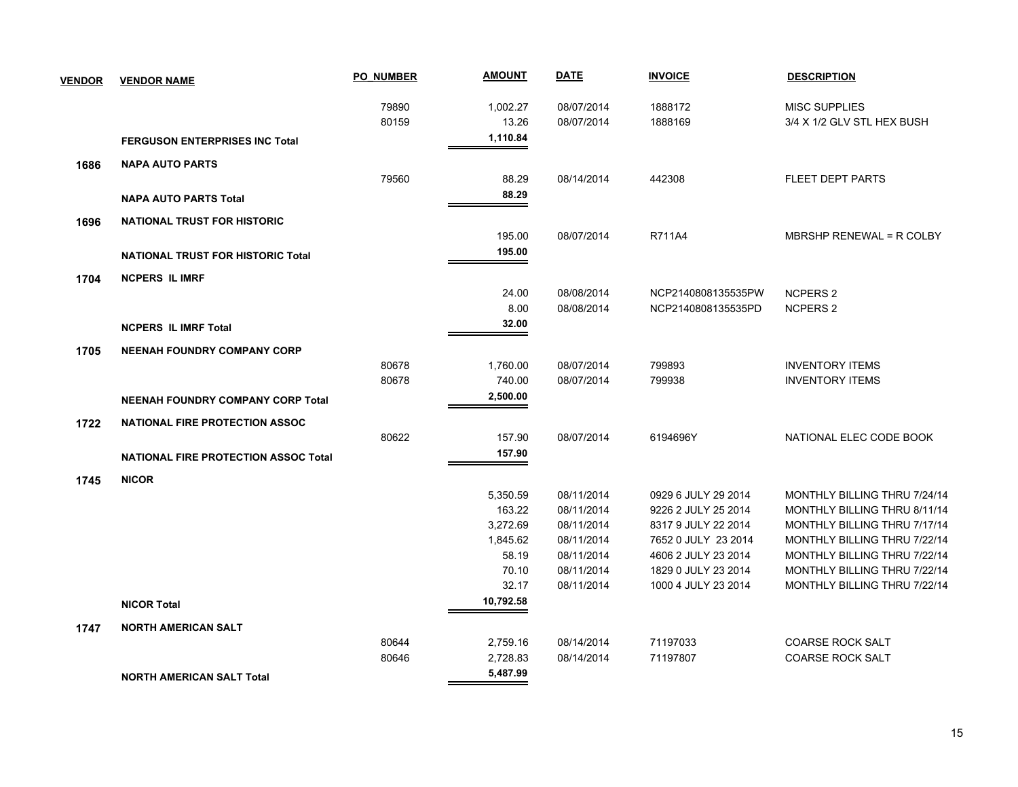| <b>VENDOR</b> | <b>VENDOR NAME</b>                          | <b>PO NUMBER</b> | <u>AMOUNT</u>  | <b>DATE</b>              | <b>INVOICE</b>                             | <b>DESCRIPTION</b>                                           |
|---------------|---------------------------------------------|------------------|----------------|--------------------------|--------------------------------------------|--------------------------------------------------------------|
|               |                                             | 79890            | 1,002.27       | 08/07/2014               | 1888172                                    | <b>MISC SUPPLIES</b>                                         |
|               |                                             | 80159            | 13.26          | 08/07/2014               | 1888169                                    | 3/4 X 1/2 GLV STL HEX BUSH                                   |
|               | <b>FERGUSON ENTERPRISES INC Total</b>       |                  | 1,110.84       |                          |                                            |                                                              |
| 1686          | <b>NAPA AUTO PARTS</b>                      |                  |                |                          |                                            |                                                              |
|               |                                             | 79560            | 88.29          | 08/14/2014               | 442308                                     | <b>FLEET DEPT PARTS</b>                                      |
|               | <b>NAPA AUTO PARTS Total</b>                |                  | 88.29          |                          |                                            |                                                              |
| 1696          | <b>NATIONAL TRUST FOR HISTORIC</b>          |                  |                |                          |                                            |                                                              |
|               |                                             |                  | 195.00         | 08/07/2014               | R711A4                                     | MBRSHP RENEWAL = R COLBY                                     |
|               | <b>NATIONAL TRUST FOR HISTORIC Total</b>    |                  | 195.00         |                          |                                            |                                                              |
| 1704          | <b>NCPERS IL IMRF</b>                       |                  |                |                          |                                            |                                                              |
|               |                                             |                  | 24.00          | 08/08/2014               | NCP2140808135535PW                         | <b>NCPERS 2</b>                                              |
|               |                                             |                  | 8.00           | 08/08/2014               | NCP2140808135535PD                         | <b>NCPERS 2</b>                                              |
|               | <b>NCPERS IL IMRF Total</b>                 |                  | 32.00          |                          |                                            |                                                              |
| 1705          | <b>NEENAH FOUNDRY COMPANY CORP</b>          |                  |                |                          |                                            |                                                              |
|               |                                             | 80678            | 1,760.00       | 08/07/2014               | 799893                                     | <b>INVENTORY ITEMS</b>                                       |
|               |                                             | 80678            | 740.00         | 08/07/2014               | 799938                                     | <b>INVENTORY ITEMS</b>                                       |
|               | <b>NEENAH FOUNDRY COMPANY CORP Total</b>    |                  | 2,500.00       |                          |                                            |                                                              |
| 1722          | NATIONAL FIRE PROTECTION ASSOC              |                  |                |                          |                                            |                                                              |
|               |                                             | 80622            | 157.90         | 08/07/2014               | 6194696Y                                   | NATIONAL ELEC CODE BOOK                                      |
|               | <b>NATIONAL FIRE PROTECTION ASSOC Total</b> |                  | 157.90         |                          |                                            |                                                              |
| 1745          | <b>NICOR</b>                                |                  |                |                          |                                            |                                                              |
|               |                                             |                  | 5,350.59       | 08/11/2014               | 0929 6 JULY 29 2014                        | MONTHLY BILLING THRU 7/24/14                                 |
|               |                                             |                  | 163.22         | 08/11/2014               | 9226 2 JULY 25 2014                        | MONTHLY BILLING THRU 8/11/14                                 |
|               |                                             |                  | 3,272.69       | 08/11/2014               | 8317 9 JULY 22 2014                        | MONTHLY BILLING THRU 7/17/14                                 |
|               |                                             |                  | 1,845.62       | 08/11/2014               | 7652 0 JULY 23 2014                        | MONTHLY BILLING THRU 7/22/14                                 |
|               |                                             |                  | 58.19<br>70.10 | 08/11/2014               | 4606 2 JULY 23 2014                        | MONTHLY BILLING THRU 7/22/14<br>MONTHLY BILLING THRU 7/22/14 |
|               |                                             |                  | 32.17          | 08/11/2014<br>08/11/2014 | 1829 0 JULY 23 2014<br>1000 4 JULY 23 2014 | MONTHLY BILLING THRU 7/22/14                                 |
|               | <b>NICOR Total</b>                          |                  | 10,792.58      |                          |                                            |                                                              |
|               |                                             |                  |                |                          |                                            |                                                              |
| 1747          | <b>NORTH AMERICAN SALT</b>                  | 80644            | 2,759.16       | 08/14/2014               | 71197033                                   | <b>COARSE ROCK SALT</b>                                      |
|               |                                             | 80646            | 2.728.83       | 08/14/2014               | 71197807                                   | <b>COARSE ROCK SALT</b>                                      |
|               |                                             |                  | 5,487.99       |                          |                                            |                                                              |
|               | <b>NORTH AMERICAN SALT Total</b>            |                  |                |                          |                                            |                                                              |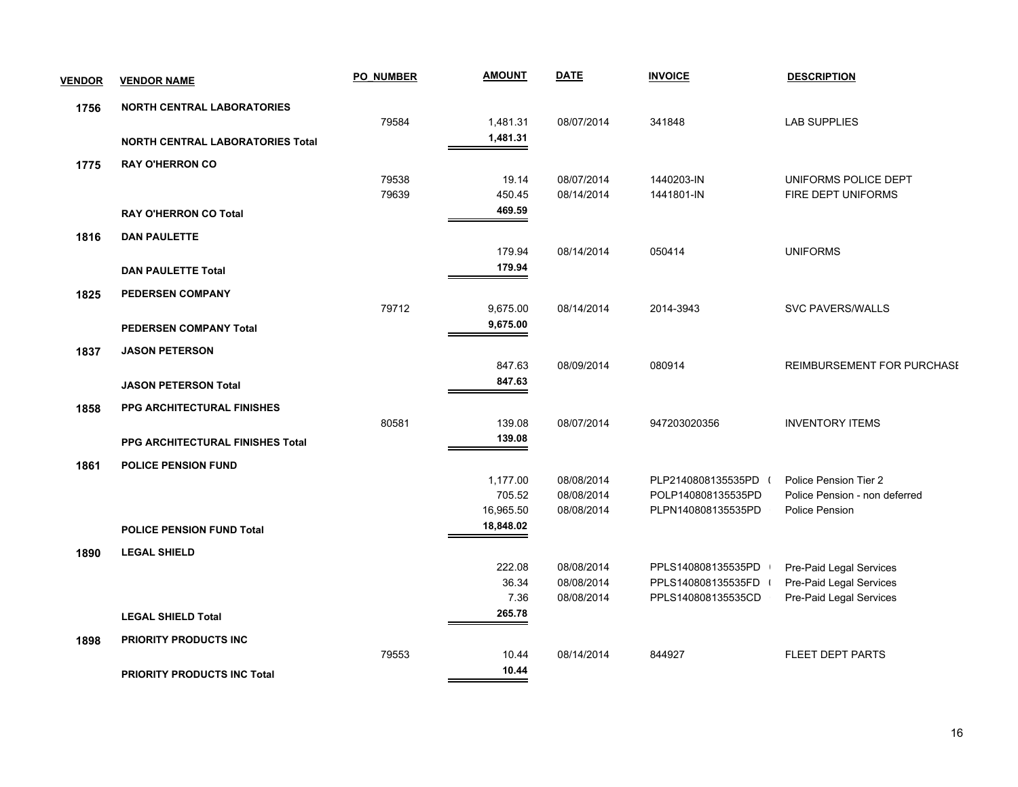| <b>VENDOR</b> | <b>VENDOR NAME</b>                      | <b>PO NUMBER</b> | <b>AMOUNT</b> | <b>DATE</b> | <b>INVOICE</b>       | <b>DESCRIPTION</b>                |
|---------------|-----------------------------------------|------------------|---------------|-------------|----------------------|-----------------------------------|
| 1756          | <b>NORTH CENTRAL LABORATORIES</b>       |                  |               |             |                      |                                   |
|               |                                         | 79584            | 1,481.31      | 08/07/2014  | 341848               | <b>LAB SUPPLIES</b>               |
|               | <b>NORTH CENTRAL LABORATORIES Total</b> |                  | 1,481.31      |             |                      |                                   |
| 1775          | <b>RAY O'HERRON CO</b>                  |                  |               |             |                      |                                   |
|               |                                         | 79538            | 19.14         | 08/07/2014  | 1440203-IN           | UNIFORMS POLICE DEPT              |
|               |                                         | 79639            | 450.45        | 08/14/2014  | 1441801-IN           | FIRE DEPT UNIFORMS                |
|               | <b>RAY O'HERRON CO Total</b>            |                  | 469.59        |             |                      |                                   |
| 1816          | <b>DAN PAULETTE</b>                     |                  |               |             |                      |                                   |
|               |                                         |                  | 179.94        | 08/14/2014  | 050414               | <b>UNIFORMS</b>                   |
|               | <b>DAN PAULETTE Total</b>               |                  | 179.94        |             |                      |                                   |
| 1825          | <b>PEDERSEN COMPANY</b>                 |                  |               |             |                      |                                   |
|               |                                         | 79712            | 9,675.00      | 08/14/2014  | 2014-3943            | <b>SVC PAVERS/WALLS</b>           |
|               | <b>PEDERSEN COMPANY Total</b>           |                  | 9,675.00      |             |                      |                                   |
| 1837          | <b>JASON PETERSON</b>                   |                  |               |             |                      |                                   |
|               |                                         |                  | 847.63        | 08/09/2014  | 080914               | <b>REIMBURSEMENT FOR PURCHASE</b> |
|               | <b>JASON PETERSON Total</b>             |                  | 847.63        |             |                      |                                   |
| 1858          | <b>PPG ARCHITECTURAL FINISHES</b>       |                  |               |             |                      |                                   |
|               |                                         | 80581            | 139.08        | 08/07/2014  | 947203020356         | <b>INVENTORY ITEMS</b>            |
|               | PPG ARCHITECTURAL FINISHES Total        |                  | 139.08        |             |                      |                                   |
| 1861          | <b>POLICE PENSION FUND</b>              |                  |               |             |                      |                                   |
|               |                                         |                  | 1,177.00      | 08/08/2014  | PLP2140808135535PD ( | Police Pension Tier 2             |
|               |                                         |                  | 705.52        | 08/08/2014  | POLP140808135535PD   | Police Pension - non deferred     |
|               |                                         |                  | 16,965.50     | 08/08/2014  | PLPN140808135535PD   | Police Pension                    |
|               | <b>POLICE PENSION FUND Total</b>        |                  | 18,848.02     |             |                      |                                   |
| 1890          | <b>LEGAL SHIELD</b>                     |                  |               |             |                      |                                   |
|               |                                         |                  | 222.08        | 08/08/2014  | PPLS140808135535PD   | Pre-Paid Legal Services           |
|               |                                         |                  | 36.34         | 08/08/2014  | PPLS140808135535FD   | Pre-Paid Legal Services           |
|               |                                         |                  | 7.36          | 08/08/2014  | PPLS140808135535CD   | Pre-Paid Legal Services           |
|               | <b>LEGAL SHIELD Total</b>               |                  | 265.78        |             |                      |                                   |
| 1898          | PRIORITY PRODUCTS INC                   |                  |               |             |                      |                                   |
|               |                                         | 79553            | 10.44         | 08/14/2014  | 844927               | <b>FLEET DEPT PARTS</b>           |
|               | <b>PRIORITY PRODUCTS INC Total</b>      |                  | 10.44         |             |                      |                                   |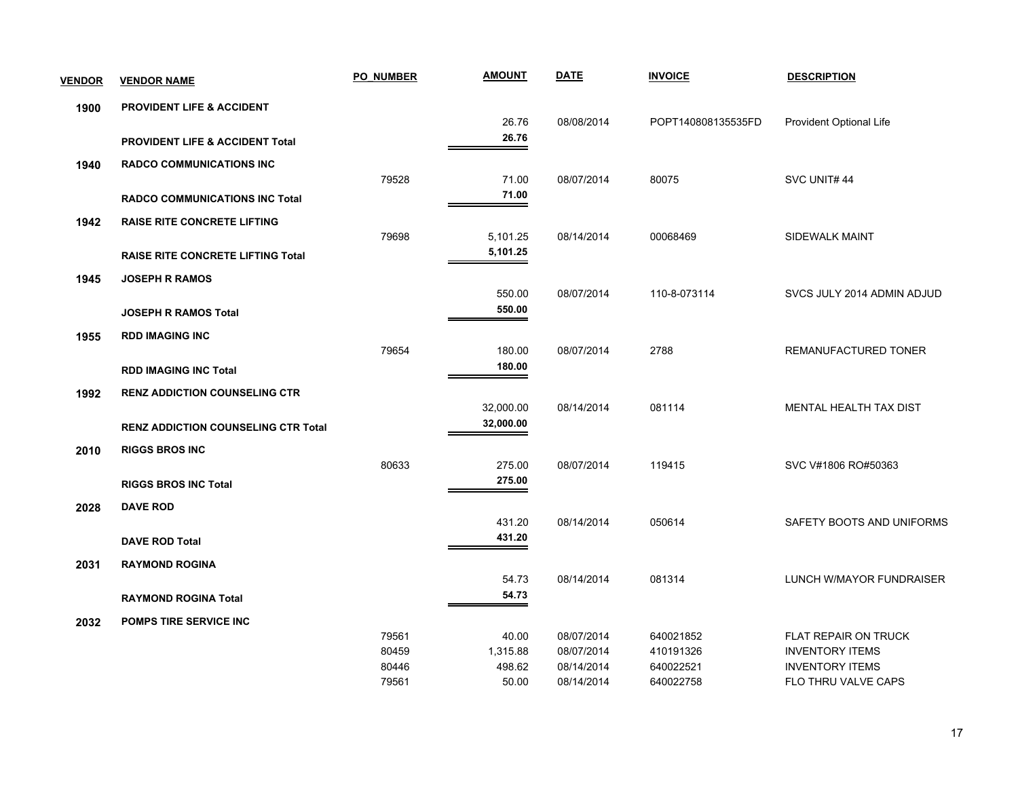| <b>VENDOR</b> | <b>VENDOR NAME</b>                         | <b>PO NUMBER</b> | <b>AMOUNT</b> | <b>DATE</b> | <b>INVOICE</b>     | <b>DESCRIPTION</b>          |
|---------------|--------------------------------------------|------------------|---------------|-------------|--------------------|-----------------------------|
| 1900          | <b>PROVIDENT LIFE &amp; ACCIDENT</b>       |                  |               |             |                    |                             |
|               |                                            |                  | 26.76         | 08/08/2014  | POPT140808135535FD | Provident Optional Life     |
|               | <b>PROVIDENT LIFE &amp; ACCIDENT Total</b> |                  | 26.76         |             |                    |                             |
| 1940          | <b>RADCO COMMUNICATIONS INC</b>            |                  |               |             |                    |                             |
|               |                                            | 79528            | 71.00         | 08/07/2014  | 80075              | SVC UNIT#44                 |
|               | <b>RADCO COMMUNICATIONS INC Total</b>      |                  | 71.00         |             |                    |                             |
| 1942          | <b>RAISE RITE CONCRETE LIFTING</b>         |                  |               |             |                    |                             |
|               |                                            | 79698            | 5,101.25      | 08/14/2014  | 00068469           | <b>SIDEWALK MAINT</b>       |
|               | <b>RAISE RITE CONCRETE LIFTING Total</b>   |                  | 5,101.25      |             |                    |                             |
| 1945          | <b>JOSEPH R RAMOS</b>                      |                  |               |             |                    |                             |
|               |                                            |                  | 550.00        | 08/07/2014  | 110-8-073114       | SVCS JULY 2014 ADMIN ADJUD  |
|               | <b>JOSEPH R RAMOS Total</b>                |                  | 550.00        |             |                    |                             |
| 1955          | <b>RDD IMAGING INC</b>                     |                  |               |             |                    |                             |
|               |                                            | 79654            | 180.00        | 08/07/2014  | 2788               | REMANUFACTURED TONER        |
|               | <b>RDD IMAGING INC Total</b>               |                  | 180.00        |             |                    |                             |
| 1992          | <b>RENZ ADDICTION COUNSELING CTR</b>       |                  |               |             |                    |                             |
|               |                                            |                  | 32,000.00     | 08/14/2014  | 081114             | MENTAL HEALTH TAX DIST      |
|               | <b>RENZ ADDICTION COUNSELING CTR Total</b> |                  | 32,000.00     |             |                    |                             |
| 2010          | <b>RIGGS BROS INC</b>                      |                  |               |             |                    |                             |
|               |                                            | 80633            | 275.00        | 08/07/2014  | 119415             | SVC V#1806 RO#50363         |
|               | <b>RIGGS BROS INC Total</b>                |                  | 275.00        |             |                    |                             |
| 2028          | <b>DAVE ROD</b>                            |                  |               |             |                    |                             |
|               |                                            |                  | 431.20        | 08/14/2014  | 050614             | SAFETY BOOTS AND UNIFORMS   |
|               | <b>DAVE ROD Total</b>                      |                  | 431.20        |             |                    |                             |
| 2031          | <b>RAYMOND ROGINA</b>                      |                  |               |             |                    |                             |
|               |                                            |                  | 54.73         | 08/14/2014  | 081314             | LUNCH W/MAYOR FUNDRAISER    |
|               | <b>RAYMOND ROGINA Total</b>                |                  | 54.73         |             |                    |                             |
| 2032          | <b>POMPS TIRE SERVICE INC</b>              |                  |               |             |                    |                             |
|               |                                            | 79561            | 40.00         | 08/07/2014  | 640021852          | <b>FLAT REPAIR ON TRUCK</b> |
|               |                                            | 80459            | 1,315.88      | 08/07/2014  | 410191326          | <b>INVENTORY ITEMS</b>      |
|               |                                            | 80446            | 498.62        | 08/14/2014  | 640022521          | <b>INVENTORY ITEMS</b>      |
|               |                                            | 79561            | 50.00         | 08/14/2014  | 640022758          | FLO THRU VALVE CAPS         |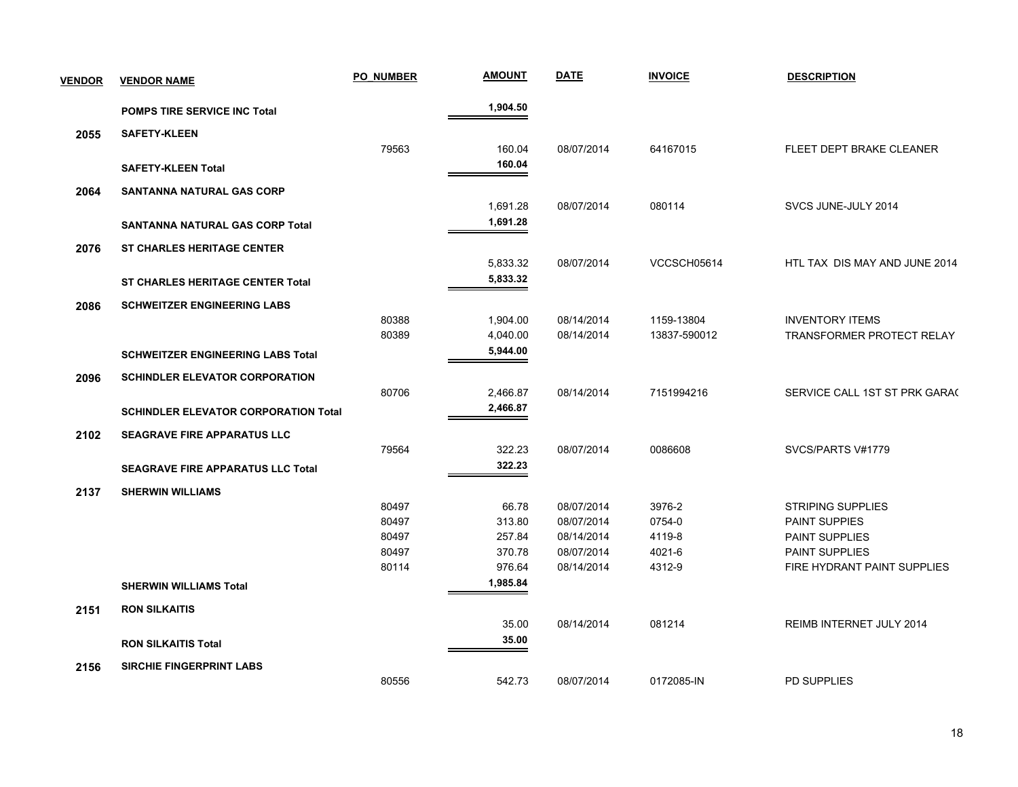| <b>VENDOR</b> | <b>VENDOR NAME</b>                          | <b>PO NUMBER</b> | <u>AMOUNT</u>        | <b>DATE</b> | <b>INVOICE</b> | <b>DESCRIPTION</b>            |
|---------------|---------------------------------------------|------------------|----------------------|-------------|----------------|-------------------------------|
|               | <b>POMPS TIRE SERVICE INC Total</b>         |                  | 1,904.50             |             |                |                               |
| 2055          | <b>SAFETY-KLEEN</b>                         |                  |                      |             |                |                               |
|               |                                             | 79563            | 160.04               | 08/07/2014  | 64167015       | FLEET DEPT BRAKE CLEANER      |
|               | <b>SAFETY-KLEEN Total</b>                   |                  | 160.04               |             |                |                               |
|               | <b>SANTANNA NATURAL GAS CORP</b>            |                  |                      |             |                |                               |
| 2064          |                                             |                  | 1,691.28             | 08/07/2014  | 080114         | SVCS JUNE-JULY 2014           |
|               | SANTANNA NATURAL GAS CORP Total             |                  | 1,691.28             |             |                |                               |
|               |                                             |                  |                      |             |                |                               |
| 2076          | <b>ST CHARLES HERITAGE CENTER</b>           |                  | 5,833.32             | 08/07/2014  | VCCSCH05614    | HTL TAX DIS MAY AND JUNE 2014 |
|               |                                             |                  | 5,833.32             |             |                |                               |
|               | <b>ST CHARLES HERITAGE CENTER Total</b>     |                  |                      |             |                |                               |
| 2086          | <b>SCHWEITZER ENGINEERING LABS</b>          |                  |                      |             |                |                               |
|               |                                             | 80388            | 1,904.00             | 08/14/2014  | 1159-13804     | <b>INVENTORY ITEMS</b>        |
|               |                                             | 80389            | 4,040.00<br>5,944.00 | 08/14/2014  | 13837-590012   | TRANSFORMER PROTECT RELAY     |
|               | <b>SCHWEITZER ENGINEERING LABS Total</b>    |                  |                      |             |                |                               |
| 2096          | <b>SCHINDLER ELEVATOR CORPORATION</b>       |                  |                      |             |                |                               |
|               |                                             | 80706            | 2,466.87             | 08/14/2014  | 7151994216     | SERVICE CALL 1ST ST PRK GARA( |
|               | <b>SCHINDLER ELEVATOR CORPORATION Total</b> |                  | 2,466.87             |             |                |                               |
| 2102          | <b>SEAGRAVE FIRE APPARATUS LLC</b>          |                  |                      |             |                |                               |
|               |                                             | 79564            | 322.23               | 08/07/2014  | 0086608        | SVCS/PARTS V#1779             |
|               | <b>SEAGRAVE FIRE APPARATUS LLC Total</b>    |                  | 322.23               |             |                |                               |
| 2137          | <b>SHERWIN WILLIAMS</b>                     |                  |                      |             |                |                               |
|               |                                             | 80497            | 66.78                | 08/07/2014  | 3976-2         | <b>STRIPING SUPPLIES</b>      |
|               |                                             | 80497            | 313.80               | 08/07/2014  | 0754-0         | <b>PAINT SUPPIES</b>          |
|               |                                             | 80497            | 257.84               | 08/14/2014  | 4119-8         | <b>PAINT SUPPLIES</b>         |
|               |                                             | 80497            | 370.78               | 08/07/2014  | 4021-6         | <b>PAINT SUPPLIES</b>         |
|               |                                             | 80114            | 976.64               | 08/14/2014  | 4312-9         | FIRE HYDRANT PAINT SUPPLIES   |
|               | <b>SHERWIN WILLIAMS Total</b>               |                  | 1,985.84             |             |                |                               |
| 2151          | <b>RON SILKAITIS</b>                        |                  |                      |             |                |                               |
|               |                                             |                  | 35.00                | 08/14/2014  | 081214         | REIMB INTERNET JULY 2014      |
|               | <b>RON SILKAITIS Total</b>                  |                  | 35.00                |             |                |                               |
| 2156          | <b>SIRCHIE FINGERPRINT LABS</b>             |                  |                      |             |                |                               |
|               |                                             | 80556            | 542.73               | 08/07/2014  | 0172085-IN     | <b>PD SUPPLIES</b>            |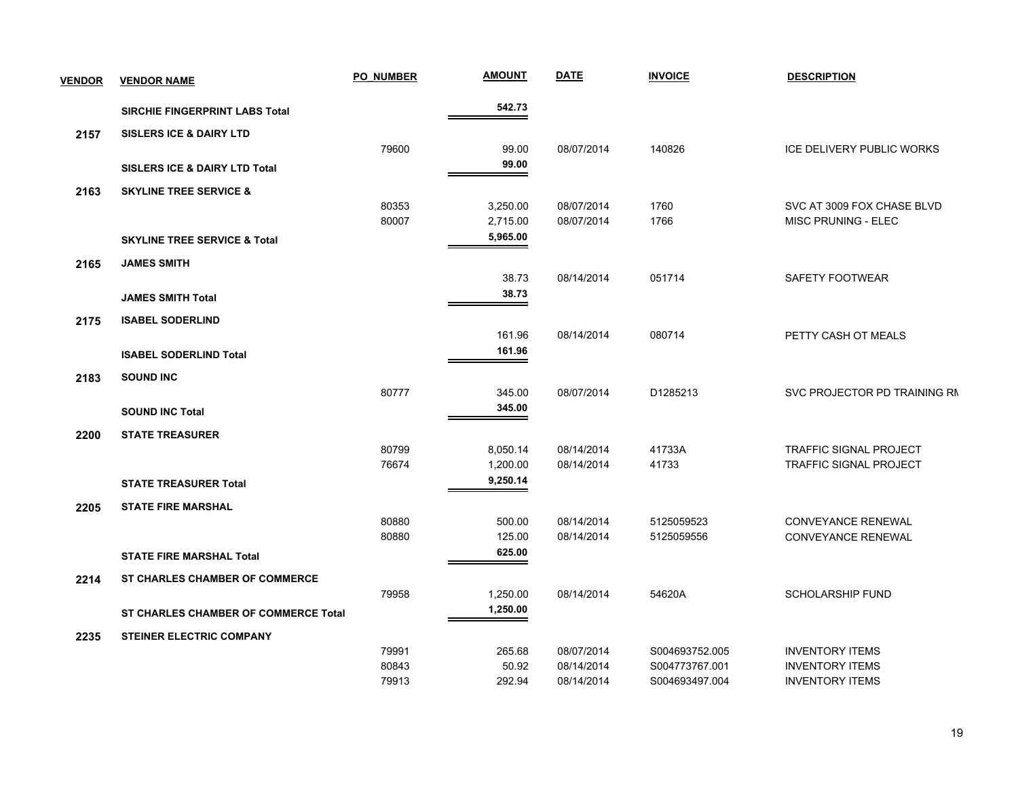| <b>VENDOR</b> | <b>VENDOR NAME</b>                       | <b>PO NUMBER</b> | <b>AMOUNT</b> | <b>DATE</b> | <b>INVOICE</b> | <b>DESCRIPTION</b>            |
|---------------|------------------------------------------|------------------|---------------|-------------|----------------|-------------------------------|
|               | SIRCHIE FINGERPRINT LABS Total           |                  | 542.73        |             |                |                               |
| 2157          | <b>SISLERS ICE &amp; DAIRY LTD</b>       |                  |               |             |                |                               |
|               |                                          | 79600            | 99.00         | 08/07/2014  | 140826         | ICE DELIVERY PUBLIC WORKS     |
|               | <b>SISLERS ICE &amp; DAIRY LTD Total</b> |                  | 99.00         |             |                |                               |
| 2163          | <b>SKYLINE TREE SERVICE &amp;</b>        |                  |               |             |                |                               |
|               |                                          | 80353            | 3,250.00      | 08/07/2014  | 1760           | SVC AT 3009 FOX CHASE BLVD    |
|               |                                          | 80007            | 2,715.00      | 08/07/2014  | 1766           | MISC PRUNING - ELEC           |
|               | <b>SKYLINE TREE SERVICE &amp; Total</b>  |                  | 5,965.00      |             |                |                               |
| 2165          | <b>JAMES SMITH</b>                       |                  |               |             |                |                               |
|               |                                          |                  | 38.73         | 08/14/2014  | 051714         | SAFETY FOOTWEAR               |
|               | <b>JAMES SMITH Total</b>                 |                  | 38.73         |             |                |                               |
| 2175          | <b>ISABEL SODERLIND</b>                  |                  |               |             |                |                               |
|               |                                          |                  | 161.96        | 08/14/2014  | 080714         | PETTY CASH OT MEALS           |
|               | <b>ISABEL SODERLIND Total</b>            |                  | 161.96        |             |                |                               |
| 2183          | <b>SOUND INC</b>                         |                  |               |             |                |                               |
|               |                                          | 80777            | 345.00        | 08/07/2014  | D1285213       | SVC PROJECTOR PD TRAINING RN  |
|               | <b>SOUND INC Total</b>                   |                  | 345.00        |             |                |                               |
| 2200          | <b>STATE TREASURER</b>                   |                  |               |             |                |                               |
|               |                                          | 80799            | 8,050.14      | 08/14/2014  | 41733A         | <b>TRAFFIC SIGNAL PROJECT</b> |
|               |                                          | 76674            | 1,200.00      | 08/14/2014  | 41733          | <b>TRAFFIC SIGNAL PROJECT</b> |
|               | <b>STATE TREASURER Total</b>             |                  | 9,250.14      |             |                |                               |
| 2205          | <b>STATE FIRE MARSHAL</b>                |                  |               |             |                |                               |
|               |                                          | 80880            | 500.00        | 08/14/2014  | 5125059523     | CONVEYANCE RENEWAL            |
|               |                                          | 80880            | 125.00        | 08/14/2014  | 5125059556     | CONVEYANCE RENEWAL            |
|               | <b>STATE FIRE MARSHAL Total</b>          |                  | 625.00        |             |                |                               |
| 2214          | <b>ST CHARLES CHAMBER OF COMMERCE</b>    |                  |               |             |                |                               |
|               |                                          | 79958            | 1,250.00      | 08/14/2014  | 54620A         | <b>SCHOLARSHIP FUND</b>       |
|               | ST CHARLES CHAMBER OF COMMERCE Total     |                  | 1,250.00      |             |                |                               |
| 2235          | <b>STEINER ELECTRIC COMPANY</b>          |                  |               |             |                |                               |
|               |                                          | 79991            | 265.68        | 08/07/2014  | S004693752.005 | <b>INVENTORY ITEMS</b>        |
|               |                                          | 80843            | 50.92         | 08/14/2014  | S004773767.001 | <b>INVENTORY ITEMS</b>        |
|               |                                          | 79913            | 292.94        | 08/14/2014  | S004693497.004 | <b>INVENTORY ITEMS</b>        |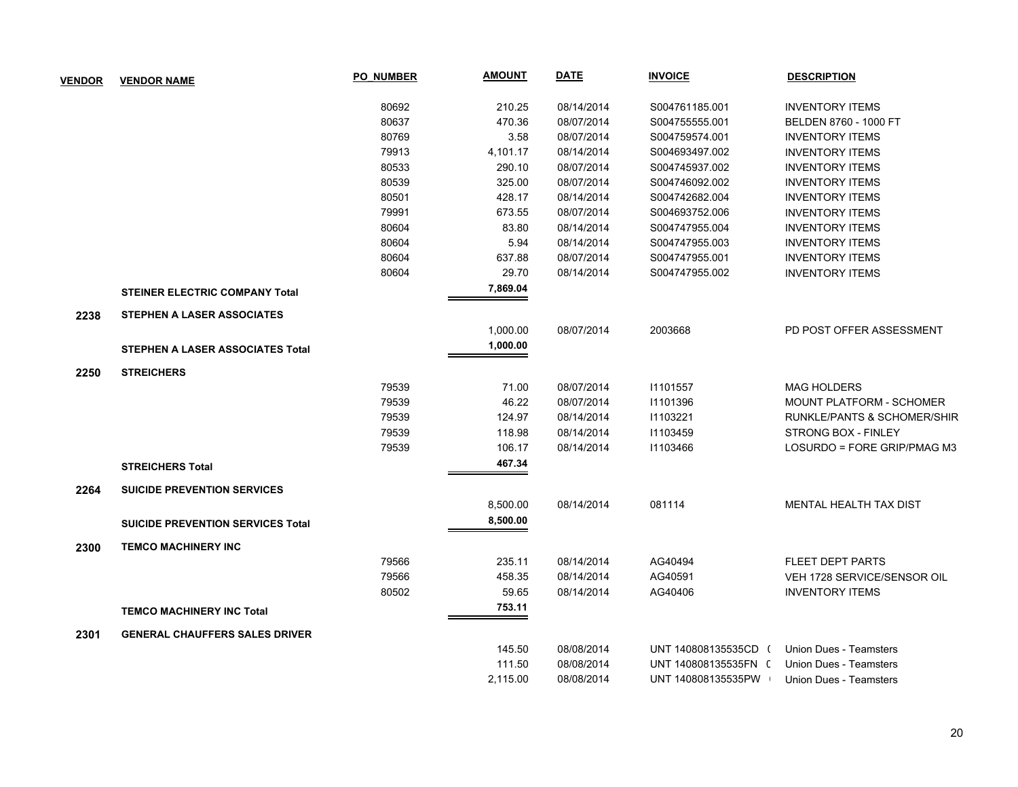| <b>VENDOR</b> | <b>VENDOR NAME</b>                       | <b>PO NUMBER</b> | <b>AMOUNT</b> | <b>DATE</b> | <b>INVOICE</b>       | <b>DESCRIPTION</b>              |
|---------------|------------------------------------------|------------------|---------------|-------------|----------------------|---------------------------------|
|               |                                          | 80692            | 210.25        | 08/14/2014  | S004761185.001       | <b>INVENTORY ITEMS</b>          |
|               |                                          | 80637            | 470.36        | 08/07/2014  | S004755555.001       | BELDEN 8760 - 1000 FT           |
|               |                                          | 80769            | 3.58          | 08/07/2014  | S004759574.001       | <b>INVENTORY ITEMS</b>          |
|               |                                          | 79913            | 4,101.17      | 08/14/2014  | S004693497.002       | <b>INVENTORY ITEMS</b>          |
|               |                                          | 80533            | 290.10        | 08/07/2014  | S004745937.002       | <b>INVENTORY ITEMS</b>          |
|               |                                          | 80539            | 325.00        | 08/07/2014  | S004746092.002       | <b>INVENTORY ITEMS</b>          |
|               |                                          | 80501            | 428.17        | 08/14/2014  | S004742682.004       | <b>INVENTORY ITEMS</b>          |
|               |                                          | 79991            | 673.55        | 08/07/2014  | S004693752.006       | <b>INVENTORY ITEMS</b>          |
|               |                                          | 80604            | 83.80         | 08/14/2014  | S004747955.004       | <b>INVENTORY ITEMS</b>          |
|               |                                          | 80604            | 5.94          | 08/14/2014  | S004747955.003       | <b>INVENTORY ITEMS</b>          |
|               |                                          | 80604            | 637.88        | 08/07/2014  | S004747955.001       | <b>INVENTORY ITEMS</b>          |
|               |                                          | 80604            | 29.70         | 08/14/2014  | S004747955.002       | <b>INVENTORY ITEMS</b>          |
|               | <b>STEINER ELECTRIC COMPANY Total</b>    |                  | 7,869.04      |             |                      |                                 |
| 2238          | STEPHEN A LASER ASSOCIATES               |                  |               |             |                      |                                 |
|               |                                          |                  | 1,000.00      | 08/07/2014  | 2003668              | PD POST OFFER ASSESSMENT        |
|               | <b>STEPHEN A LASER ASSOCIATES Total</b>  |                  | 1,000.00      |             |                      |                                 |
| 2250          | <b>STREICHERS</b>                        |                  |               |             |                      |                                 |
|               |                                          | 79539            | 71.00         | 08/07/2014  | 11101557             | <b>MAG HOLDERS</b>              |
|               |                                          | 79539            | 46.22         | 08/07/2014  | 11101396             | <b>MOUNT PLATFORM - SCHOMER</b> |
|               |                                          | 79539            | 124.97        | 08/14/2014  | 11103221             | RUNKLE/PANTS & SCHOMER/SHIR     |
|               |                                          | 79539            | 118.98        | 08/14/2014  | 11103459             | STRONG BOX - FINLEY             |
|               |                                          | 79539            | 106.17        | 08/14/2014  | 11103466             | LOSURDO = FORE GRIP/PMAG M3     |
|               | <b>STREICHERS Total</b>                  |                  | 467.34        |             |                      |                                 |
| 2264          | <b>SUICIDE PREVENTION SERVICES</b>       |                  |               |             |                      |                                 |
|               |                                          |                  | 8,500.00      | 08/14/2014  | 081114               | MENTAL HEALTH TAX DIST          |
|               |                                          |                  | 8,500.00      |             |                      |                                 |
|               | <b>SUICIDE PREVENTION SERVICES Total</b> |                  |               |             |                      |                                 |
| 2300          | <b>TEMCO MACHINERY INC</b>               |                  |               |             |                      |                                 |
|               |                                          | 79566            | 235.11        | 08/14/2014  | AG40494              | <b>FLEET DEPT PARTS</b>         |
|               |                                          | 79566            | 458.35        | 08/14/2014  | AG40591              | VEH 1728 SERVICE/SENSOR OIL     |
|               |                                          | 80502            | 59.65         | 08/14/2014  | AG40406              | <b>INVENTORY ITEMS</b>          |
|               | <b>TEMCO MACHINERY INC Total</b>         |                  | 753.11        |             |                      |                                 |
| 2301          | <b>GENERAL CHAUFFERS SALES DRIVER</b>    |                  |               |             |                      |                                 |
|               |                                          |                  | 145.50        | 08/08/2014  | UNT 140808135535CD ( | Union Dues - Teamsters          |
|               |                                          |                  | 111.50        | 08/08/2014  | UNT 140808135535FN 0 | Union Dues - Teamsters          |
|               |                                          |                  | 2,115.00      | 08/08/2014  | UNT 140808135535PW   | Union Dues - Teamsters          |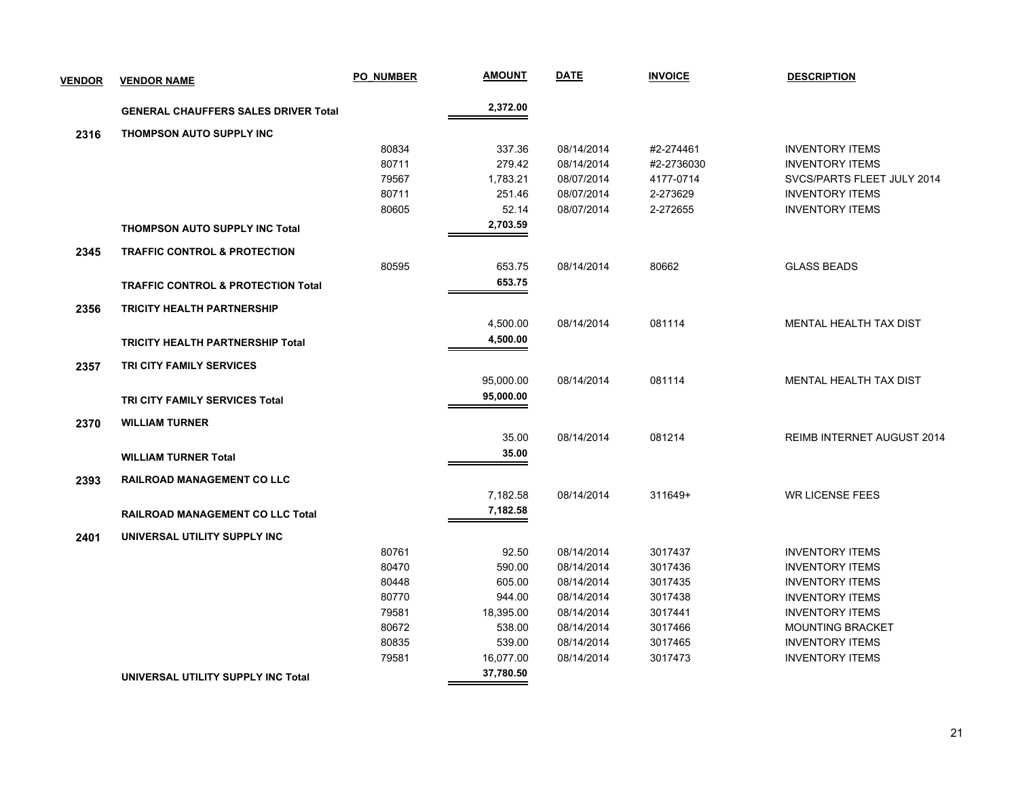| <b>VENDOR</b> | <b>VENDOR NAME</b>                            | <b>PO NUMBER</b> | <b>AMOUNT</b>    | <b>DATE</b>              | <b>INVOICE</b>     | <b>DESCRIPTION</b>                               |
|---------------|-----------------------------------------------|------------------|------------------|--------------------------|--------------------|--------------------------------------------------|
|               | <b>GENERAL CHAUFFERS SALES DRIVER Total</b>   |                  | 2,372.00         |                          |                    |                                                  |
| 2316          | <b>THOMPSON AUTO SUPPLY INC</b>               |                  |                  |                          |                    |                                                  |
|               |                                               | 80834            | 337.36           | 08/14/2014               | #2-274461          | <b>INVENTORY ITEMS</b>                           |
|               |                                               | 80711            | 279.42           | 08/14/2014               | #2-2736030         | <b>INVENTORY ITEMS</b>                           |
|               |                                               | 79567            | 1,783.21         | 08/07/2014               | 4177-0714          | SVCS/PARTS FLEET JULY 2014                       |
|               |                                               | 80711            | 251.46           | 08/07/2014               | 2-273629           | <b>INVENTORY ITEMS</b>                           |
|               |                                               | 80605            | 52.14            | 08/07/2014               | 2-272655           | <b>INVENTORY ITEMS</b>                           |
|               | <b>THOMPSON AUTO SUPPLY INC Total</b>         |                  | 2,703.59         |                          |                    |                                                  |
| 2345          | <b>TRAFFIC CONTROL &amp; PROTECTION</b>       |                  |                  |                          |                    |                                                  |
|               |                                               | 80595            | 653.75           | 08/14/2014               | 80662              | <b>GLASS BEADS</b>                               |
|               | <b>TRAFFIC CONTROL &amp; PROTECTION Total</b> |                  | 653.75           |                          |                    |                                                  |
| 2356          | <b>TRICITY HEALTH PARTNERSHIP</b>             |                  |                  |                          |                    |                                                  |
|               |                                               |                  | 4,500.00         | 08/14/2014               | 081114             | MENTAL HEALTH TAX DIST                           |
|               | <b>TRICITY HEALTH PARTNERSHIP Total</b>       |                  | 4,500.00         |                          |                    |                                                  |
| 2357          | <b>TRI CITY FAMILY SERVICES</b>               |                  |                  |                          |                    |                                                  |
|               |                                               |                  | 95,000.00        | 08/14/2014               | 081114             | <b>MENTAL HEALTH TAX DIST</b>                    |
|               | TRI CITY FAMILY SERVICES Total                |                  | 95,000.00        |                          |                    |                                                  |
| 2370          | <b>WILLIAM TURNER</b>                         |                  |                  |                          |                    |                                                  |
|               |                                               |                  | 35.00            | 08/14/2014               | 081214             | <b>REIMB INTERNET AUGUST 2014</b>                |
|               | <b>WILLIAM TURNER Total</b>                   |                  | 35.00            |                          |                    |                                                  |
| 2393          | <b>RAILROAD MANAGEMENT CO LLC</b>             |                  |                  |                          |                    |                                                  |
|               |                                               |                  | 7,182.58         | 08/14/2014               | 311649+            | <b>WR LICENSE FEES</b>                           |
|               |                                               |                  | 7,182.58         |                          |                    |                                                  |
|               | <b>RAILROAD MANAGEMENT CO LLC Total</b>       |                  |                  |                          |                    |                                                  |
| 2401          | UNIVERSAL UTILITY SUPPLY INC                  |                  |                  |                          |                    |                                                  |
|               |                                               | 80761            | 92.50            | 08/14/2014               | 3017437            | <b>INVENTORY ITEMS</b>                           |
|               |                                               | 80470            | 590.00           | 08/14/2014               | 3017436            | <b>INVENTORY ITEMS</b>                           |
|               |                                               | 80448<br>80770   | 605.00<br>944.00 | 08/14/2014<br>08/14/2014 | 3017435<br>3017438 | <b>INVENTORY ITEMS</b><br><b>INVENTORY ITEMS</b> |
|               |                                               | 79581            | 18,395.00        | 08/14/2014               | 3017441            | <b>INVENTORY ITEMS</b>                           |
|               |                                               | 80672            | 538.00           | 08/14/2014               | 3017466            | <b>MOUNTING BRACKET</b>                          |
|               |                                               | 80835            | 539.00           | 08/14/2014               | 3017465            | <b>INVENTORY ITEMS</b>                           |
|               |                                               | 79581            | 16,077.00        | 08/14/2014               | 3017473            | <b>INVENTORY ITEMS</b>                           |
|               |                                               |                  | 37,780.50        |                          |                    |                                                  |
|               | UNIVERSAL UTILITY SUPPLY INC Total            |                  |                  |                          |                    |                                                  |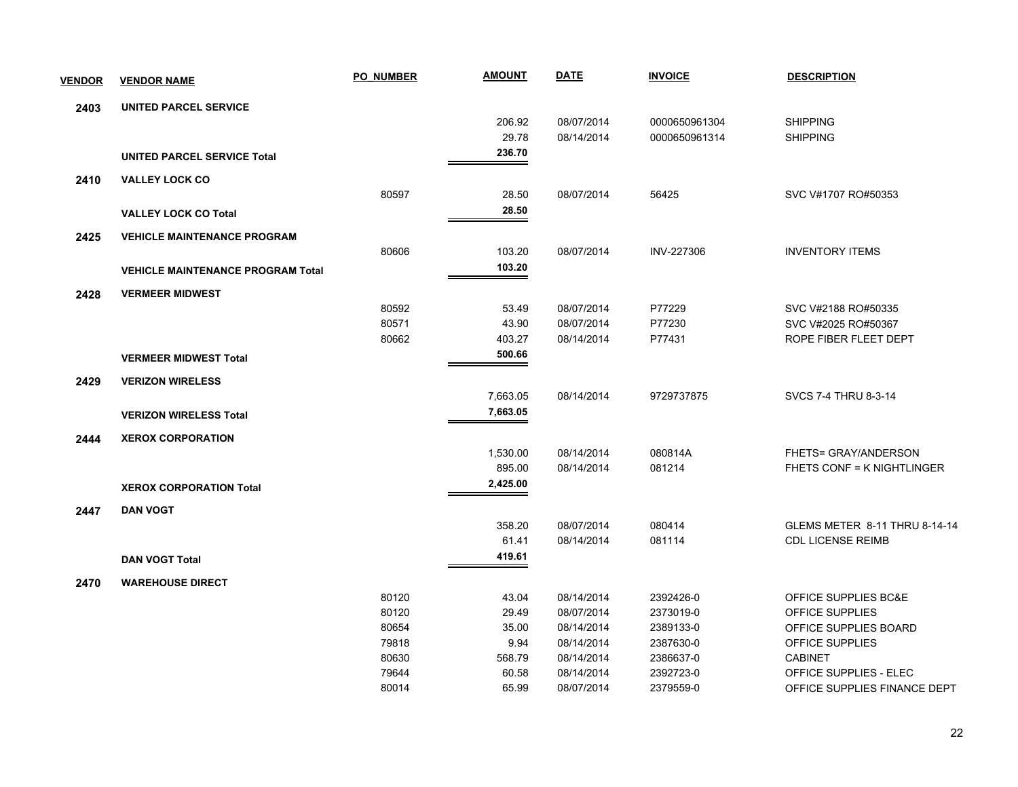| <b>VENDOR</b> | <b>VENDOR NAME</b>                       | <b>PO NUMBER</b> | <b>AMOUNT</b> | <b>DATE</b> | <b>INVOICE</b> | <b>DESCRIPTION</b>                |
|---------------|------------------------------------------|------------------|---------------|-------------|----------------|-----------------------------------|
| 2403          | <b>UNITED PARCEL SERVICE</b>             |                  |               |             |                |                                   |
|               |                                          |                  | 206.92        | 08/07/2014  | 0000650961304  | <b>SHIPPING</b>                   |
|               |                                          |                  | 29.78         | 08/14/2014  | 0000650961314  | <b>SHIPPING</b>                   |
|               | <b>UNITED PARCEL SERVICE Total</b>       |                  | 236.70        |             |                |                                   |
| 2410          | <b>VALLEY LOCK CO</b>                    |                  |               |             |                |                                   |
|               |                                          | 80597            | 28.50         | 08/07/2014  | 56425          | SVC V#1707 RO#50353               |
|               | <b>VALLEY LOCK CO Total</b>              |                  | 28.50         |             |                |                                   |
| 2425          | <b>VEHICLE MAINTENANCE PROGRAM</b>       |                  |               |             |                |                                   |
|               |                                          | 80606            | 103.20        | 08/07/2014  | INV-227306     | <b>INVENTORY ITEMS</b>            |
|               | <b>VEHICLE MAINTENANCE PROGRAM Total</b> |                  | 103.20        |             |                |                                   |
| 2428          | <b>VERMEER MIDWEST</b>                   |                  |               |             |                |                                   |
|               |                                          | 80592            | 53.49         | 08/07/2014  | P77229         | SVC V#2188 RO#50335               |
|               |                                          | 80571            | 43.90         | 08/07/2014  | P77230         | SVC V#2025 RO#50367               |
|               |                                          | 80662            | 403.27        | 08/14/2014  | P77431         | ROPE FIBER FLEET DEPT             |
|               | <b>VERMEER MIDWEST Total</b>             |                  | 500.66        |             |                |                                   |
| 2429          | <b>VERIZON WIRELESS</b>                  |                  |               |             |                |                                   |
|               |                                          |                  | 7,663.05      | 08/14/2014  | 9729737875     | SVCS 7-4 THRU 8-3-14              |
|               | <b>VERIZON WIRELESS Total</b>            |                  | 7,663.05      |             |                |                                   |
| 2444          | <b>XEROX CORPORATION</b>                 |                  |               |             |                |                                   |
|               |                                          |                  | 1,530.00      | 08/14/2014  | 080814A        | FHETS= GRAY/ANDERSON              |
|               |                                          |                  | 895.00        | 08/14/2014  | 081214         | <b>FHETS CONF = K NIGHTLINGER</b> |
|               | <b>XEROX CORPORATION Total</b>           |                  | 2,425.00      |             |                |                                   |
| 2447          | <b>DAN VOGT</b>                          |                  |               |             |                |                                   |
|               |                                          |                  | 358.20        | 08/07/2014  | 080414         | GLEMS METER 8-11 THRU 8-14-14     |
|               |                                          |                  | 61.41         | 08/14/2014  | 081114         | <b>CDL LICENSE REIMB</b>          |
|               | <b>DAN VOGT Total</b>                    |                  | 419.61        |             |                |                                   |
| 2470          | <b>WAREHOUSE DIRECT</b>                  |                  |               |             |                |                                   |
|               |                                          | 80120            | 43.04         | 08/14/2014  | 2392426-0      | OFFICE SUPPLIES BC&E              |
|               |                                          | 80120            | 29.49         | 08/07/2014  | 2373019-0      | OFFICE SUPPLIES                   |
|               |                                          | 80654            | 35.00         | 08/14/2014  | 2389133-0      | OFFICE SUPPLIES BOARD             |
|               |                                          | 79818            | 9.94          | 08/14/2014  | 2387630-0      | OFFICE SUPPLIES                   |
|               |                                          | 80630            | 568.79        | 08/14/2014  | 2386637-0      | <b>CABINET</b>                    |
|               |                                          | 79644            | 60.58         | 08/14/2014  | 2392723-0      | <b>OFFICE SUPPLIES - ELEC</b>     |
|               |                                          | 80014            | 65.99         | 08/07/2014  | 2379559-0      | OFFICE SUPPLIES FINANCE DEPT      |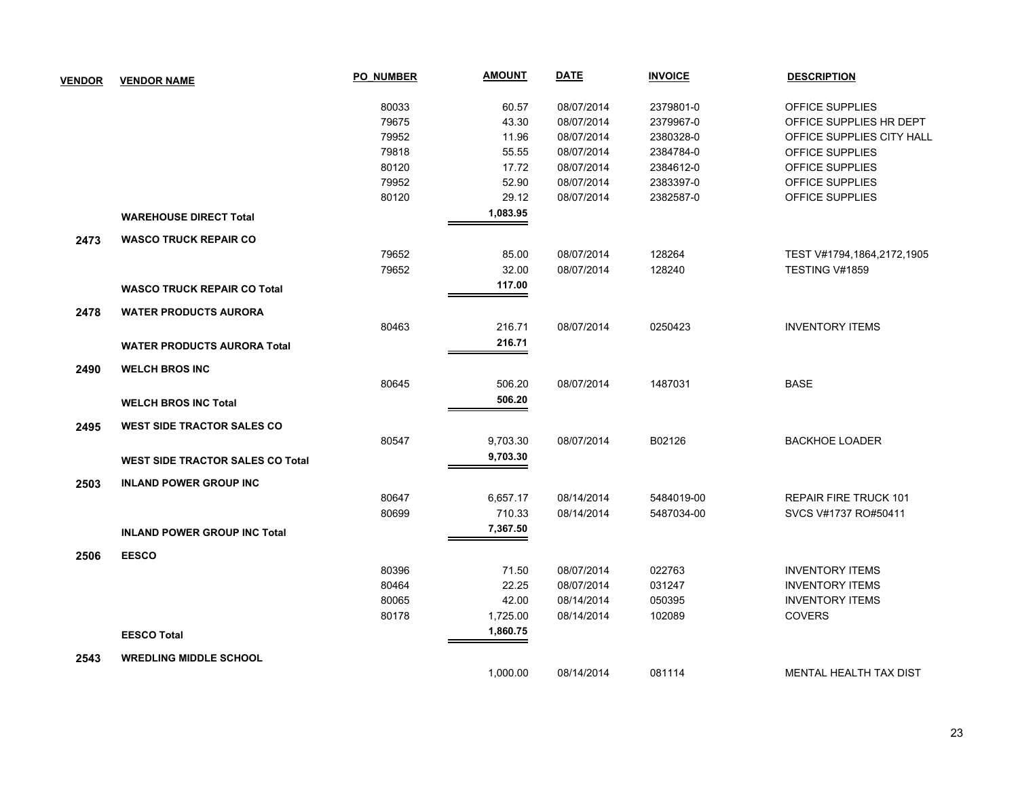| <b>VENDOR</b> | <b>VENDOR NAME</b>                      | <b>PO NUMBER</b> | <b>AMOUNT</b> | <u>DATE</u> | <b>INVOICE</b> | <b>DESCRIPTION</b>            |
|---------------|-----------------------------------------|------------------|---------------|-------------|----------------|-------------------------------|
|               |                                         | 80033            | 60.57         | 08/07/2014  | 2379801-0      | OFFICE SUPPLIES               |
|               |                                         | 79675            | 43.30         | 08/07/2014  | 2379967-0      | OFFICE SUPPLIES HR DEPT       |
|               |                                         | 79952            | 11.96         | 08/07/2014  | 2380328-0      | OFFICE SUPPLIES CITY HALL     |
|               |                                         | 79818            | 55.55         | 08/07/2014  | 2384784-0      | OFFICE SUPPLIES               |
|               |                                         | 80120            | 17.72         | 08/07/2014  | 2384612-0      | OFFICE SUPPLIES               |
|               |                                         | 79952            | 52.90         | 08/07/2014  | 2383397-0      | OFFICE SUPPLIES               |
|               |                                         | 80120            | 29.12         | 08/07/2014  | 2382587-0      | OFFICE SUPPLIES               |
|               | <b>WAREHOUSE DIRECT Total</b>           |                  | 1,083.95      |             |                |                               |
| 2473          | <b>WASCO TRUCK REPAIR CO</b>            |                  |               |             |                |                               |
|               |                                         | 79652            | 85.00         | 08/07/2014  | 128264         | TEST V#1794,1864,2172,1905    |
|               |                                         | 79652            | 32.00         | 08/07/2014  | 128240         | TESTING V#1859                |
|               | <b>WASCO TRUCK REPAIR CO Total</b>      |                  | 117.00        |             |                |                               |
| 2478          | <b>WATER PRODUCTS AURORA</b>            |                  |               |             |                |                               |
|               |                                         | 80463            | 216.71        | 08/07/2014  | 0250423        | <b>INVENTORY ITEMS</b>        |
|               | <b>WATER PRODUCTS AURORA Total</b>      |                  | 216.71        |             |                |                               |
| 2490          | <b>WELCH BROS INC</b>                   |                  |               |             |                |                               |
|               |                                         | 80645            | 506.20        | 08/07/2014  | 1487031        | <b>BASE</b>                   |
|               | <b>WELCH BROS INC Total</b>             |                  | 506.20        |             |                |                               |
| 2495          | <b>WEST SIDE TRACTOR SALES CO</b>       |                  |               |             |                |                               |
|               |                                         | 80547            | 9,703.30      | 08/07/2014  | B02126         | <b>BACKHOE LOADER</b>         |
|               |                                         |                  | 9,703.30      |             |                |                               |
|               | <b>WEST SIDE TRACTOR SALES CO Total</b> |                  |               |             |                |                               |
| 2503          | <b>INLAND POWER GROUP INC</b>           |                  |               |             |                |                               |
|               |                                         | 80647            | 6,657.17      | 08/14/2014  | 5484019-00     | REPAIR FIRE TRUCK 101         |
|               |                                         | 80699            | 710.33        | 08/14/2014  | 5487034-00     | SVCS V#1737 RO#50411          |
|               | <b>INLAND POWER GROUP INC Total</b>     |                  | 7,367.50      |             |                |                               |
| 2506          | <b>EESCO</b>                            |                  |               |             |                |                               |
|               |                                         | 80396            | 71.50         | 08/07/2014  | 022763         | <b>INVENTORY ITEMS</b>        |
|               |                                         | 80464            | 22.25         | 08/07/2014  | 031247         | <b>INVENTORY ITEMS</b>        |
|               |                                         | 80065            | 42.00         | 08/14/2014  | 050395         | <b>INVENTORY ITEMS</b>        |
|               |                                         | 80178            | 1,725.00      | 08/14/2014  | 102089         | COVERS                        |
|               | <b>EESCO Total</b>                      |                  | 1,860.75      |             |                |                               |
| 2543          | <b>WREDLING MIDDLE SCHOOL</b>           |                  |               |             |                |                               |
|               |                                         |                  | 1,000.00      | 08/14/2014  | 081114         | <b>MENTAL HEALTH TAX DIST</b> |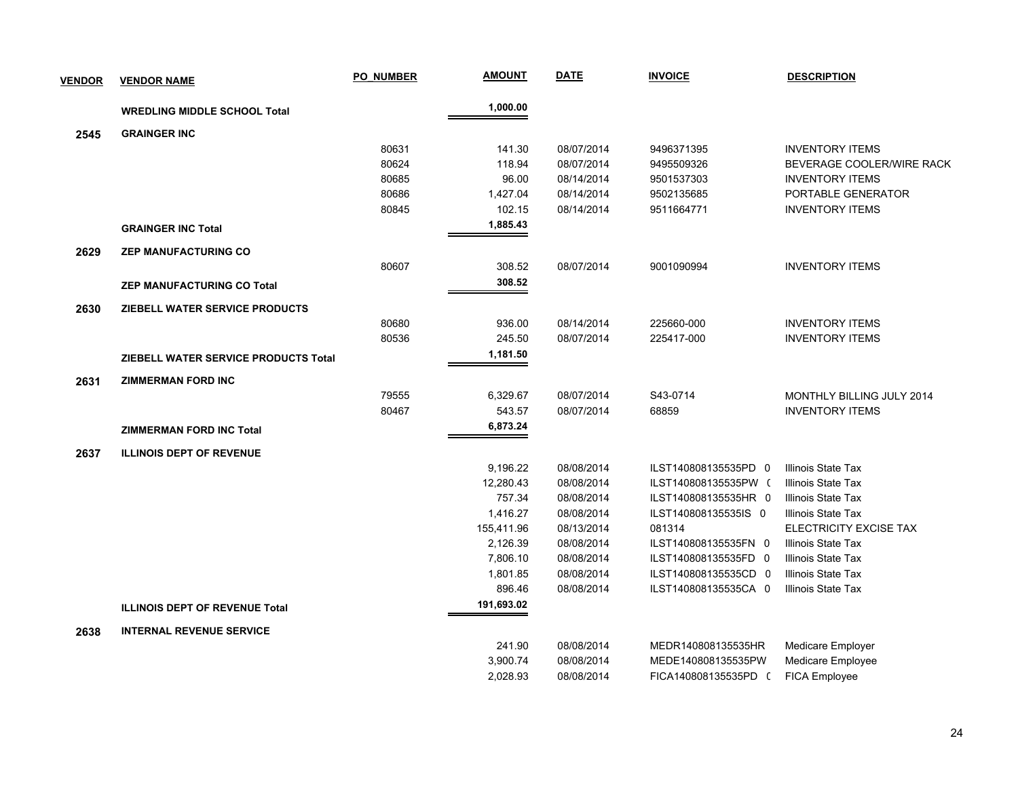| <b>VENDOR</b> | <b>VENDOR NAME</b>                    | <b>PO NUMBER</b> | <b>AMOUNT</b> | <b>DATE</b> | <b>INVOICE</b>       | <b>DESCRIPTION</b>        |
|---------------|---------------------------------------|------------------|---------------|-------------|----------------------|---------------------------|
|               | <b>WREDLING MIDDLE SCHOOL Total</b>   |                  | 1,000.00      |             |                      |                           |
| 2545          | <b>GRAINGER INC</b>                   |                  |               |             |                      |                           |
|               |                                       | 80631            | 141.30        | 08/07/2014  | 9496371395           | <b>INVENTORY ITEMS</b>    |
|               |                                       | 80624            | 118.94        | 08/07/2014  | 9495509326           | BEVERAGE COOLER/WIRE RACK |
|               |                                       | 80685            | 96.00         | 08/14/2014  | 9501537303           | <b>INVENTORY ITEMS</b>    |
|               |                                       | 80686            | 1,427.04      | 08/14/2014  | 9502135685           | PORTABLE GENERATOR        |
|               |                                       | 80845            | 102.15        | 08/14/2014  | 9511664771           | <b>INVENTORY ITEMS</b>    |
|               | <b>GRAINGER INC Total</b>             |                  | 1,885.43      |             |                      |                           |
| 2629          | <b>ZEP MANUFACTURING CO</b>           |                  |               |             |                      |                           |
|               |                                       | 80607            | 308.52        | 08/07/2014  | 9001090994           | <b>INVENTORY ITEMS</b>    |
|               | <b>ZEP MANUFACTURING CO Total</b>     |                  | 308.52        |             |                      |                           |
| 2630          | ZIEBELL WATER SERVICE PRODUCTS        |                  |               |             |                      |                           |
|               |                                       | 80680            | 936.00        | 08/14/2014  | 225660-000           | <b>INVENTORY ITEMS</b>    |
|               |                                       | 80536            | 245.50        | 08/07/2014  | 225417-000           | <b>INVENTORY ITEMS</b>    |
|               | ZIEBELL WATER SERVICE PRODUCTS Total  |                  | 1,181.50      |             |                      |                           |
| 2631          | <b>ZIMMERMAN FORD INC</b>             |                  |               |             |                      |                           |
|               |                                       | 79555            | 6,329.67      | 08/07/2014  | S43-0714             | MONTHLY BILLING JULY 2014 |
|               |                                       | 80467            | 543.57        | 08/07/2014  | 68859                | <b>INVENTORY ITEMS</b>    |
|               | <b>ZIMMERMAN FORD INC Total</b>       |                  | 6,873.24      |             |                      |                           |
| 2637          | <b>ILLINOIS DEPT OF REVENUE</b>       |                  |               |             |                      |                           |
|               |                                       |                  | 9,196.22      | 08/08/2014  | ILST140808135535PD 0 | Illinois State Tax        |
|               |                                       |                  | 12,280.43     | 08/08/2014  | ILST140808135535PW ( | Illinois State Tax        |
|               |                                       |                  | 757.34        | 08/08/2014  | ILST140808135535HR 0 | Illinois State Tax        |
|               |                                       |                  | 1,416.27      | 08/08/2014  | ILST140808135535IS 0 | Illinois State Tax        |
|               |                                       |                  | 155,411.96    | 08/13/2014  | 081314               | ELECTRICITY EXCISE TAX    |
|               |                                       |                  | 2,126.39      | 08/08/2014  | ILST140808135535FN 0 | Illinois State Tax        |
|               |                                       |                  | 7,806.10      | 08/08/2014  | ILST140808135535FD 0 | Illinois State Tax        |
|               |                                       |                  | 1,801.85      | 08/08/2014  | ILST140808135535CD 0 | Illinois State Tax        |
|               |                                       |                  | 896.46        | 08/08/2014  | ILST140808135535CA 0 | Illinois State Tax        |
|               | <b>ILLINOIS DEPT OF REVENUE Total</b> |                  | 191,693.02    |             |                      |                           |
| 2638          | <b>INTERNAL REVENUE SERVICE</b>       |                  |               |             |                      |                           |
|               |                                       |                  | 241.90        | 08/08/2014  | MEDR140808135535HR   | Medicare Employer         |
|               |                                       |                  | 3,900.74      | 08/08/2014  | MEDE140808135535PW   | Medicare Employee         |
|               |                                       |                  | 2,028.93      | 08/08/2014  | FICA140808135535PD ( | <b>FICA Employee</b>      |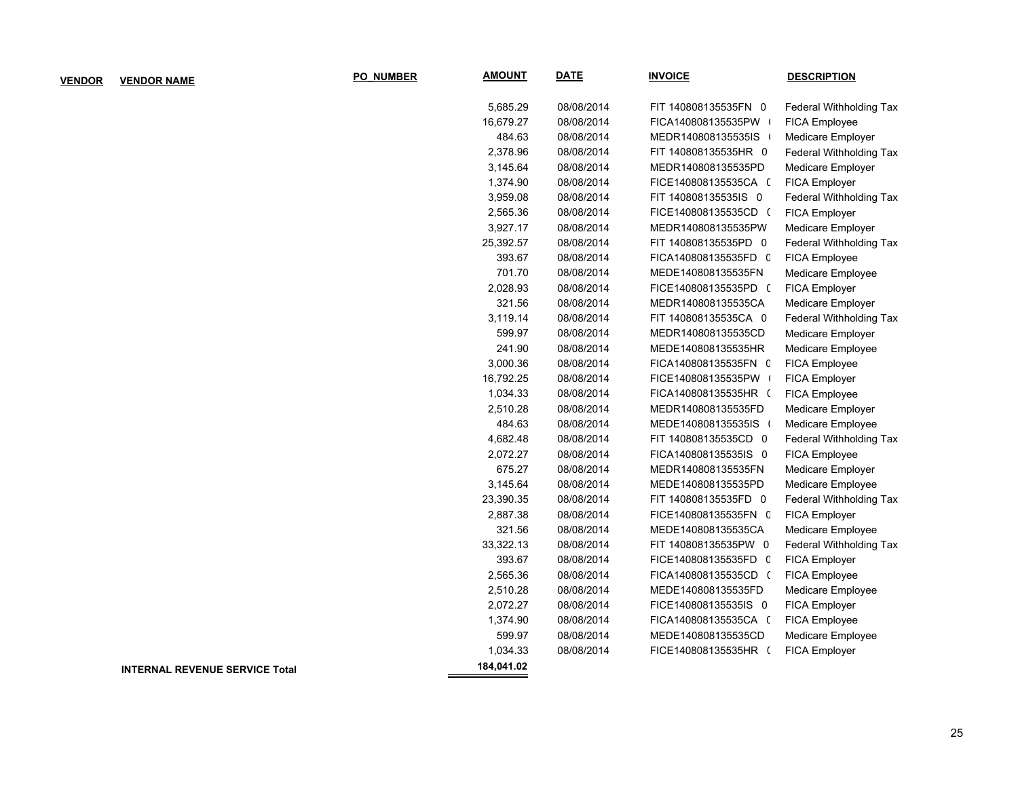| <b>VENDOR</b> | <b>VENDOR NAME</b>                    | <b>PO NUMBER</b> | <u>AMOUNT</u> | <u>DATE</u> | <b>INVOICE</b>       | <b>DESCRIPTION</b>      |
|---------------|---------------------------------------|------------------|---------------|-------------|----------------------|-------------------------|
|               |                                       |                  | 5,685.29      | 08/08/2014  | FIT 140808135535FN 0 | Federal Withholding Tax |
|               |                                       |                  | 16,679.27     | 08/08/2014  | FICA140808135535PW   | FICA Employee           |
|               |                                       |                  | 484.63        | 08/08/2014  | MEDR140808135535IS   | Medicare Employer       |
|               |                                       |                  | 2,378.96      | 08/08/2014  | FIT 140808135535HR 0 | Federal Withholding Tax |
|               |                                       |                  | 3,145.64      | 08/08/2014  | MEDR140808135535PD   | Medicare Employer       |
|               |                                       |                  | 1,374.90      | 08/08/2014  | FICE140808135535CA ( | FICA Employer           |
|               |                                       |                  | 3,959.08      | 08/08/2014  | FIT 140808135535IS 0 | Federal Withholding Tax |
|               |                                       |                  | 2,565.36      | 08/08/2014  | FICE140808135535CD ( | FICA Employer           |
|               |                                       |                  | 3,927.17      | 08/08/2014  | MEDR140808135535PW   | Medicare Employer       |
|               |                                       |                  | 25,392.57     | 08/08/2014  | FIT 140808135535PD 0 | Federal Withholding Tax |
|               |                                       |                  | 393.67        | 08/08/2014  | FICA140808135535FD C | FICA Employee           |
|               |                                       |                  | 701.70        | 08/08/2014  | MEDE140808135535FN   | Medicare Employee       |
|               |                                       |                  | 2,028.93      | 08/08/2014  | FICE140808135535PD ( | FICA Employer           |
|               |                                       |                  | 321.56        | 08/08/2014  | MEDR140808135535CA   | Medicare Employer       |
|               |                                       |                  | 3,119.14      | 08/08/2014  | FIT 140808135535CA 0 | Federal Withholding Tax |
|               |                                       |                  | 599.97        | 08/08/2014  | MEDR140808135535CD   | Medicare Employer       |
|               |                                       |                  | 241.90        | 08/08/2014  | MEDE140808135535HR   | Medicare Employee       |
|               |                                       |                  | 3,000.36      | 08/08/2014  | FICA140808135535FN C | FICA Employee           |
|               |                                       |                  | 16,792.25     | 08/08/2014  | FICE140808135535PW   | FICA Employer           |
|               |                                       |                  | 1,034.33      | 08/08/2014  | FICA140808135535HR ( | FICA Employee           |
|               |                                       |                  | 2,510.28      | 08/08/2014  | MEDR140808135535FD   | Medicare Employer       |
|               |                                       |                  | 484.63        | 08/08/2014  | MEDE140808135535IS ( | Medicare Employee       |
|               |                                       |                  | 4,682.48      | 08/08/2014  | FIT 140808135535CD 0 | Federal Withholding Tax |
|               |                                       |                  | 2,072.27      | 08/08/2014  | FICA140808135535IS 0 | FICA Employee           |
|               |                                       |                  | 675.27        | 08/08/2014  | MEDR140808135535FN   | Medicare Employer       |
|               |                                       |                  | 3,145.64      | 08/08/2014  | MEDE140808135535PD   | Medicare Employee       |
|               |                                       |                  | 23,390.35     | 08/08/2014  | FIT 140808135535FD 0 | Federal Withholding Tax |
|               |                                       |                  | 2,887.38      | 08/08/2014  | FICE140808135535FN C | FICA Employer           |
|               |                                       |                  | 321.56        | 08/08/2014  | MEDE140808135535CA   | Medicare Employee       |
|               |                                       |                  | 33,322.13     | 08/08/2014  | FIT 140808135535PW 0 | Federal Withholding Tax |
|               |                                       |                  | 393.67        | 08/08/2014  | FICE140808135535FD C | FICA Employer           |
|               |                                       |                  | 2,565.36      | 08/08/2014  | FICA140808135535CD ( | FICA Employee           |
|               |                                       |                  | 2,510.28      | 08/08/2014  | MEDE140808135535FD   | Medicare Employee       |
|               |                                       |                  | 2,072.27      | 08/08/2014  | FICE140808135535IS 0 | FICA Employer           |
|               |                                       |                  | 1,374.90      | 08/08/2014  | FICA140808135535CA ( | FICA Employee           |
|               |                                       |                  | 599.97        | 08/08/2014  | MEDE140808135535CD   | Medicare Employee       |
|               |                                       |                  | 1,034.33      | 08/08/2014  | FICE140808135535HR ( | FICA Employer           |
|               | <b>INTERNAL REVENUE SERVICE Total</b> |                  | 184,041.02    |             |                      |                         |
|               |                                       |                  |               |             |                      |                         |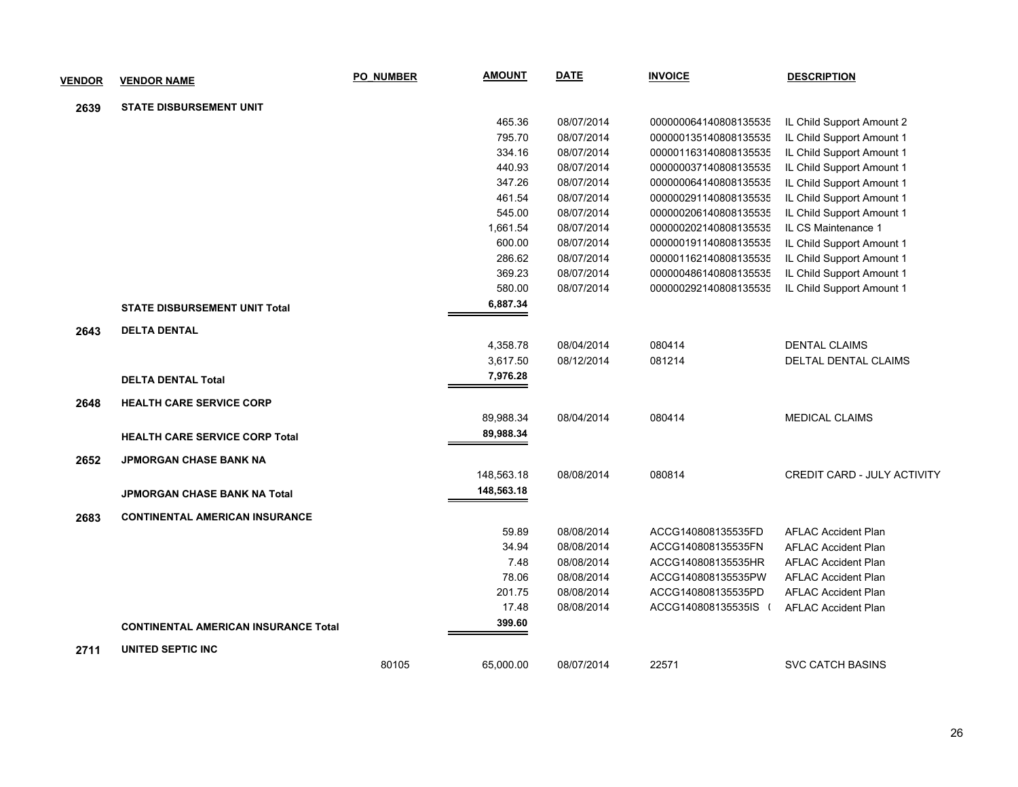| <b>VENDOR</b> | <b>VENDOR NAME</b>                          | <b>PO NUMBER</b> | <b>AMOUNT</b> | <b>DATE</b> | <b>INVOICE</b>        | <b>DESCRIPTION</b>          |
|---------------|---------------------------------------------|------------------|---------------|-------------|-----------------------|-----------------------------|
| 2639          | <b>STATE DISBURSEMENT UNIT</b>              |                  |               |             |                       |                             |
|               |                                             |                  | 465.36        | 08/07/2014  | 000000064140808135535 | IL Child Support Amount 2   |
|               |                                             |                  | 795.70        | 08/07/2014  | 000000135140808135535 | IL Child Support Amount 1   |
|               |                                             |                  | 334.16        | 08/07/2014  | 000001163140808135535 | IL Child Support Amount 1   |
|               |                                             |                  | 440.93        | 08/07/2014  | 000000037140808135535 | IL Child Support Amount 1   |
|               |                                             |                  | 347.26        | 08/07/2014  | 000000064140808135535 | IL Child Support Amount 1   |
|               |                                             |                  | 461.54        | 08/07/2014  | 000000291140808135535 | IL Child Support Amount 1   |
|               |                                             |                  | 545.00        | 08/07/2014  | 000000206140808135535 | IL Child Support Amount 1   |
|               |                                             |                  | 1,661.54      | 08/07/2014  | 000000202140808135535 | IL CS Maintenance 1         |
|               |                                             |                  | 600.00        | 08/07/2014  | 000000191140808135535 | IL Child Support Amount 1   |
|               |                                             |                  | 286.62        | 08/07/2014  | 000001162140808135535 | IL Child Support Amount 1   |
|               |                                             |                  | 369.23        | 08/07/2014  | 000000486140808135535 | IL Child Support Amount 1   |
|               |                                             |                  | 580.00        | 08/07/2014  | 000000292140808135535 | IL Child Support Amount 1   |
|               | <b>STATE DISBURSEMENT UNIT Total</b>        |                  | 6,887.34      |             |                       |                             |
| 2643          | <b>DELTA DENTAL</b>                         |                  |               |             |                       |                             |
|               |                                             |                  | 4,358.78      | 08/04/2014  | 080414                | <b>DENTAL CLAIMS</b>        |
|               |                                             |                  | 3,617.50      | 08/12/2014  | 081214                | <b>DELTAL DENTAL CLAIMS</b> |
|               | <b>DELTA DENTAL Total</b>                   |                  | 7,976.28      |             |                       |                             |
| 2648          | <b>HEALTH CARE SERVICE CORP</b>             |                  |               |             |                       |                             |
|               |                                             |                  | 89,988.34     | 08/04/2014  | 080414                | <b>MEDICAL CLAIMS</b>       |
|               | <b>HEALTH CARE SERVICE CORP Total</b>       |                  | 89,988.34     |             |                       |                             |
| 2652          | <b>JPMORGAN CHASE BANK NA</b>               |                  |               |             |                       |                             |
|               |                                             |                  | 148,563.18    | 08/08/2014  | 080814                | CREDIT CARD - JULY ACTIVITY |
|               | <b>JPMORGAN CHASE BANK NA Total</b>         |                  | 148,563.18    |             |                       |                             |
| 2683          | <b>CONTINENTAL AMERICAN INSURANCE</b>       |                  |               |             |                       |                             |
|               |                                             |                  | 59.89         | 08/08/2014  | ACCG140808135535FD    | <b>AFLAC Accident Plan</b>  |
|               |                                             |                  | 34.94         | 08/08/2014  | ACCG140808135535FN    | <b>AFLAC Accident Plan</b>  |
|               |                                             |                  | 7.48          | 08/08/2014  | ACCG140808135535HR    | <b>AFLAC Accident Plan</b>  |
|               |                                             |                  | 78.06         | 08/08/2014  | ACCG140808135535PW    | <b>AFLAC Accident Plan</b>  |
|               |                                             |                  | 201.75        | 08/08/2014  | ACCG140808135535PD    | <b>AFLAC Accident Plan</b>  |
|               |                                             |                  | 17.48         | 08/08/2014  | ACCG140808135535IS (  | <b>AFLAC Accident Plan</b>  |
|               | <b>CONTINENTAL AMERICAN INSURANCE Total</b> |                  | 399.60        |             |                       |                             |
| 2711          | UNITED SEPTIC INC                           |                  |               |             |                       |                             |
|               |                                             | 80105            | 65.000.00     | 08/07/2014  | 22571                 | <b>SVC CATCH BASINS</b>     |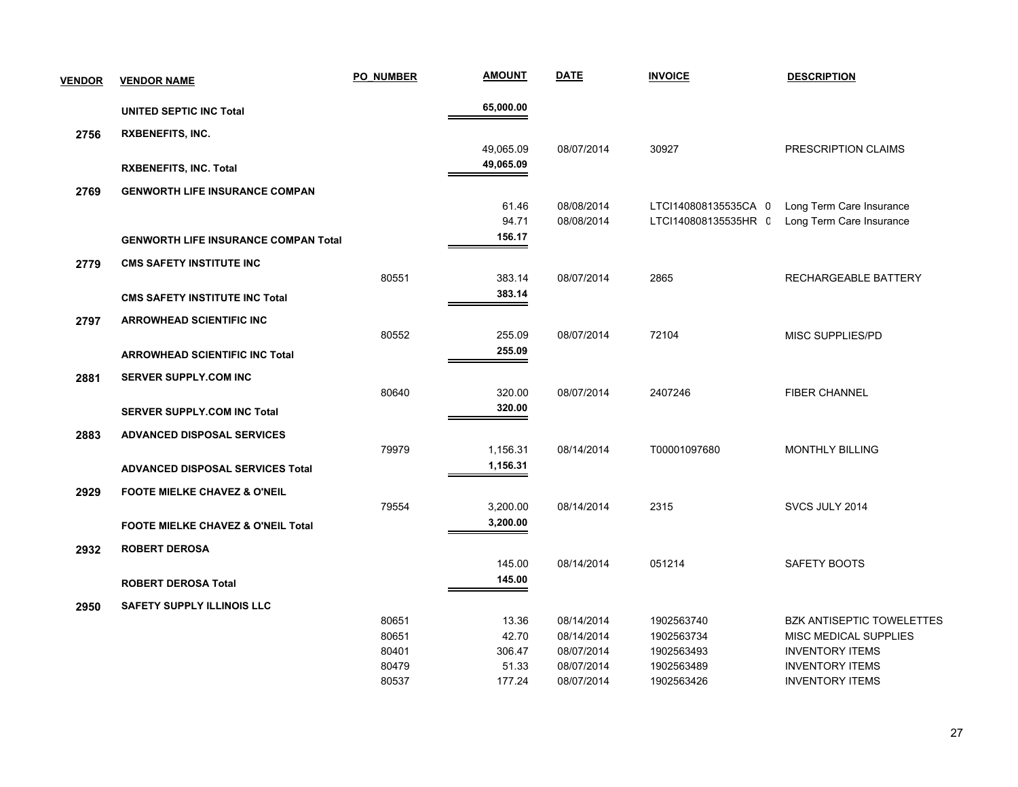| <b>VENDOR</b> | <b>VENDOR NAME</b>                            | <b>PO NUMBER</b> | <b>AMOUNT</b> | <b>DATE</b> | <b>INVOICE</b>       | <b>DESCRIPTION</b>               |
|---------------|-----------------------------------------------|------------------|---------------|-------------|----------------------|----------------------------------|
|               | <b>UNITED SEPTIC INC Total</b>                |                  | 65,000.00     |             |                      |                                  |
| 2756          | <b>RXBENEFITS, INC.</b>                       |                  |               |             |                      |                                  |
|               |                                               |                  | 49,065.09     | 08/07/2014  | 30927                | PRESCRIPTION CLAIMS              |
|               | <b>RXBENEFITS, INC. Total</b>                 |                  | 49,065.09     |             |                      |                                  |
| 2769          | <b>GENWORTH LIFE INSURANCE COMPAN</b>         |                  |               |             |                      |                                  |
|               |                                               |                  | 61.46         | 08/08/2014  | LTCI140808135535CA 0 | Long Term Care Insurance         |
|               |                                               |                  | 94.71         | 08/08/2014  | LTCI140808135535HR C | Long Term Care Insurance         |
|               | <b>GENWORTH LIFE INSURANCE COMPAN Total</b>   |                  | 156.17        |             |                      |                                  |
| 2779          | <b>CMS SAFETY INSTITUTE INC</b>               |                  |               |             |                      |                                  |
|               |                                               | 80551            | 383.14        | 08/07/2014  | 2865                 | RECHARGEABLE BATTERY             |
|               | <b>CMS SAFETY INSTITUTE INC Total</b>         |                  | 383.14        |             |                      |                                  |
| 2797          | <b>ARROWHEAD SCIENTIFIC INC</b>               |                  |               |             |                      |                                  |
|               |                                               | 80552            | 255.09        | 08/07/2014  | 72104                | <b>MISC SUPPLIES/PD</b>          |
|               | <b>ARROWHEAD SCIENTIFIC INC Total</b>         |                  | 255.09        |             |                      |                                  |
| 2881          | <b>SERVER SUPPLY.COM INC</b>                  |                  |               |             |                      |                                  |
|               |                                               | 80640            | 320.00        | 08/07/2014  | 2407246              | <b>FIBER CHANNEL</b>             |
|               | <b>SERVER SUPPLY.COM INC Total</b>            |                  | 320.00        |             |                      |                                  |
| 2883          | <b>ADVANCED DISPOSAL SERVICES</b>             |                  |               |             |                      |                                  |
|               |                                               | 79979            | 1,156.31      | 08/14/2014  | T00001097680         | <b>MONTHLY BILLING</b>           |
|               | <b>ADVANCED DISPOSAL SERVICES Total</b>       |                  | 1,156.31      |             |                      |                                  |
| 2929          | <b>FOOTE MIELKE CHAVEZ &amp; O'NEIL</b>       |                  |               |             |                      |                                  |
|               |                                               | 79554            | 3,200.00      | 08/14/2014  | 2315                 | SVCS JULY 2014                   |
|               | <b>FOOTE MIELKE CHAVEZ &amp; O'NEIL Total</b> |                  | 3,200.00      |             |                      |                                  |
| 2932          | <b>ROBERT DEROSA</b>                          |                  |               |             |                      |                                  |
|               |                                               |                  | 145.00        | 08/14/2014  | 051214               | SAFETY BOOTS                     |
|               | <b>ROBERT DEROSA Total</b>                    |                  | 145.00        |             |                      |                                  |
| 2950          | <b>SAFETY SUPPLY ILLINOIS LLC</b>             |                  |               |             |                      |                                  |
|               |                                               | 80651            | 13.36         | 08/14/2014  | 1902563740           | <b>BZK ANTISEPTIC TOWELETTES</b> |
|               |                                               | 80651            | 42.70         | 08/14/2014  | 1902563734           | MISC MEDICAL SUPPLIES            |
|               |                                               | 80401            | 306.47        | 08/07/2014  | 1902563493           | <b>INVENTORY ITEMS</b>           |
|               |                                               | 80479            | 51.33         | 08/07/2014  | 1902563489           | <b>INVENTORY ITEMS</b>           |
|               |                                               | 80537            | 177.24        | 08/07/2014  | 1902563426           | <b>INVENTORY ITEMS</b>           |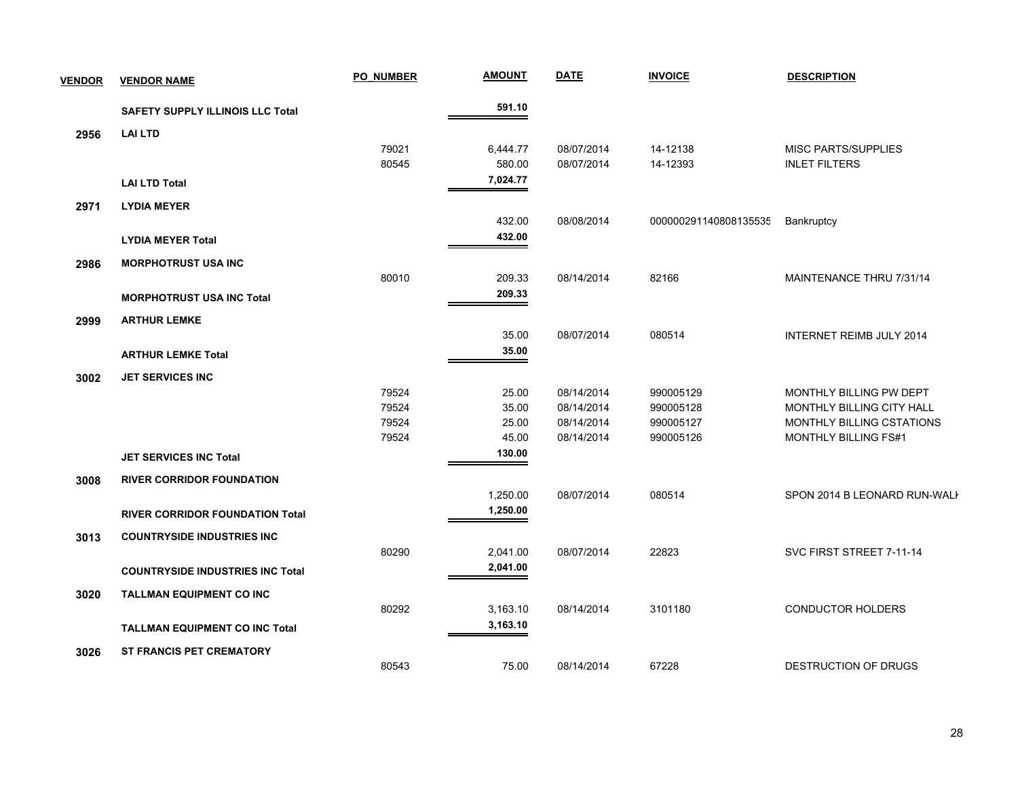| <b>VENDOR</b> | <b>VENDOR NAME</b>                      | PO NUMBER | <b>AMOUNT</b> | <b>DATE</b> | <b>INVOICE</b>        | <b>DESCRIPTION</b>               |
|---------------|-----------------------------------------|-----------|---------------|-------------|-----------------------|----------------------------------|
|               | <b>SAFETY SUPPLY ILLINOIS LLC Total</b> |           | 591.10        |             |                       |                                  |
| 2956          | <b>LAI LTD</b>                          |           |               |             |                       |                                  |
|               |                                         | 79021     | 6,444.77      | 08/07/2014  | 14-12138              | <b>MISC PARTS/SUPPLIES</b>       |
|               |                                         | 80545     | 580.00        | 08/07/2014  | 14-12393              | <b>INLET FILTERS</b>             |
|               | <b>LAI LTD Total</b>                    |           | 7,024.77      |             |                       |                                  |
| 2971          | <b>LYDIA MEYER</b>                      |           |               |             |                       |                                  |
|               |                                         |           | 432.00        | 08/08/2014  | 000000291140808135535 | <b>Bankruptcy</b>                |
|               | <b>LYDIA MEYER Total</b>                |           | 432.00        |             |                       |                                  |
| 2986          | <b>MORPHOTRUST USA INC</b>              |           |               |             |                       |                                  |
|               |                                         | 80010     | 209.33        | 08/14/2014  | 82166                 | MAINTENANCE THRU 7/31/14         |
|               | <b>MORPHOTRUST USA INC Total</b>        |           | 209.33        |             |                       |                                  |
| 2999          | <b>ARTHUR LEMKE</b>                     |           |               |             |                       |                                  |
|               |                                         |           | 35.00         | 08/07/2014  | 080514                | INTERNET REIMB JULY 2014         |
|               | <b>ARTHUR LEMKE Total</b>               |           | 35.00         |             |                       |                                  |
| 3002          | <b>JET SERVICES INC</b>                 |           |               |             |                       |                                  |
|               |                                         | 79524     | 25.00         | 08/14/2014  | 990005129             | MONTHLY BILLING PW DEPT          |
|               |                                         | 79524     | 35.00         | 08/14/2014  | 990005128             | <b>MONTHLY BILLING CITY HALL</b> |
|               |                                         | 79524     | 25.00         | 08/14/2014  | 990005127             | MONTHLY BILLING CSTATIONS        |
|               |                                         | 79524     | 45.00         | 08/14/2014  | 990005126             | MONTHLY BILLING FS#1             |
|               | <b>JET SERVICES INC Total</b>           |           | 130.00        |             |                       |                                  |
| 3008          | <b>RIVER CORRIDOR FOUNDATION</b>        |           |               |             |                       |                                  |
|               |                                         |           | 1,250.00      | 08/07/2014  | 080514                | SPON 2014 B LEONARD RUN-WALK     |
|               | <b>RIVER CORRIDOR FOUNDATION Total</b>  |           | 1,250.00      |             |                       |                                  |
| 3013          | <b>COUNTRYSIDE INDUSTRIES INC</b>       |           |               |             |                       |                                  |
|               |                                         | 80290     | 2,041.00      | 08/07/2014  | 22823                 | SVC FIRST STREET 7-11-14         |
|               | <b>COUNTRYSIDE INDUSTRIES INC Total</b> |           | 2,041.00      |             |                       |                                  |
| 3020          | <b>TALLMAN EQUIPMENT CO INC</b>         |           |               |             |                       |                                  |
|               |                                         | 80292     | 3,163.10      | 08/14/2014  | 3101180               | CONDUCTOR HOLDERS                |
|               | <b>TALLMAN EQUIPMENT CO INC Total</b>   |           | 3,163.10      |             |                       |                                  |
| 3026          | <b>ST FRANCIS PET CREMATORY</b>         |           |               |             |                       |                                  |
|               |                                         | 80543     | 75.00         | 08/14/2014  | 67228                 | <b>DESTRUCTION OF DRUGS</b>      |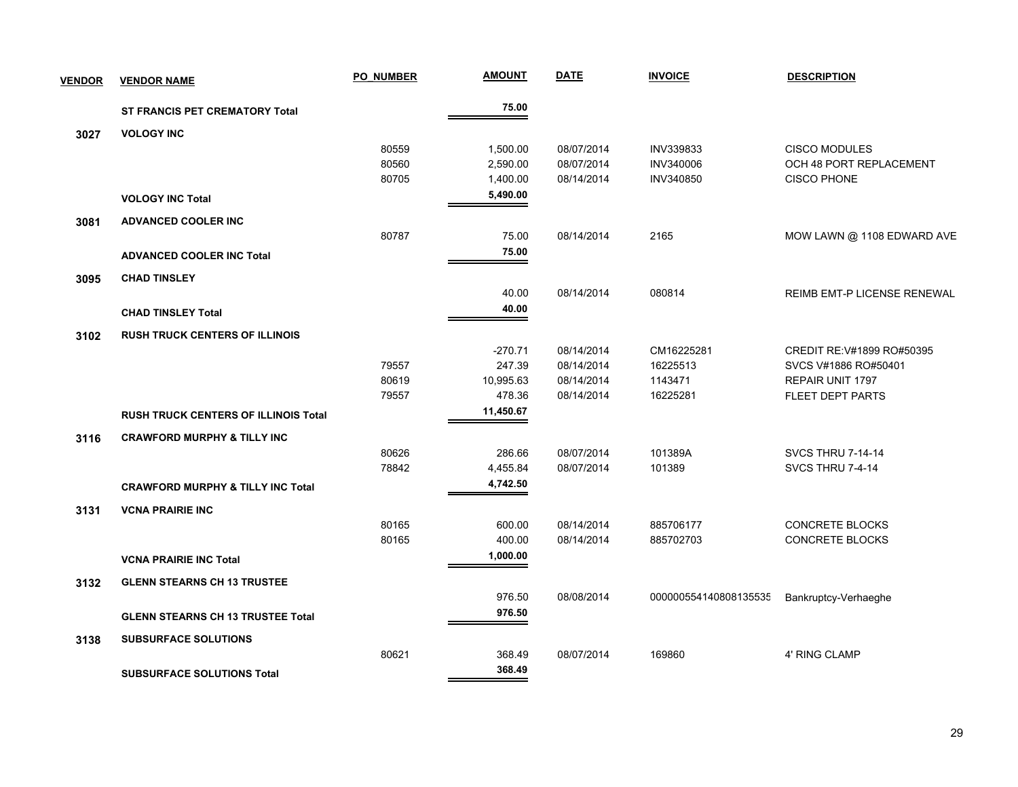| <b>VENDOR</b> | <b>VENDOR NAME</b>                           | <b>PO NUMBER</b> | <b>AMOUNT</b>       | <b>DATE</b> | <b>INVOICE</b>        | <b>DESCRIPTION</b>          |
|---------------|----------------------------------------------|------------------|---------------------|-------------|-----------------------|-----------------------------|
|               | ST FRANCIS PET CREMATORY Total               |                  | 75.00               |             |                       |                             |
| 3027          | <b>VOLOGY INC</b>                            |                  |                     |             |                       |                             |
|               |                                              | 80559            | 1,500.00            | 08/07/2014  | INV339833             | <b>CISCO MODULES</b>        |
|               |                                              | 80560            | 2,590.00            | 08/07/2014  | INV340006             | OCH 48 PORT REPLACEMENT     |
|               |                                              | 80705            | 1,400.00            | 08/14/2014  | INV340850             | <b>CISCO PHONE</b>          |
|               | <b>VOLOGY INC Total</b>                      |                  | 5,490.00            |             |                       |                             |
| 3081          | <b>ADVANCED COOLER INC</b>                   |                  |                     |             |                       |                             |
|               |                                              | 80787            | 75.00               | 08/14/2014  | 2165                  | MOW LAWN @ 1108 EDWARD AVE  |
|               | <b>ADVANCED COOLER INC Total</b>             |                  | 75.00               |             |                       |                             |
| 3095          | <b>CHAD TINSLEY</b>                          |                  |                     |             |                       |                             |
|               |                                              |                  | 40.00               | 08/14/2014  | 080814                | REIMB EMT-P LICENSE RENEWAL |
|               | <b>CHAD TINSLEY Total</b>                    |                  | 40.00               |             |                       |                             |
|               |                                              |                  |                     |             |                       |                             |
| 3102          | <b>RUSH TRUCK CENTERS OF ILLINOIS</b>        |                  |                     |             |                       |                             |
|               |                                              |                  | $-270.71$           | 08/14/2014  | CM16225281            | CREDIT RE: V#1899 RO#50395  |
|               |                                              | 79557            | 247.39              | 08/14/2014  | 16225513              | SVCS V#1886 RO#50401        |
|               |                                              | 80619<br>79557   | 10,995.63<br>478.36 | 08/14/2014  | 1143471<br>16225281   | REPAIR UNIT 1797            |
|               |                                              |                  | 11,450.67           | 08/14/2014  |                       | <b>FLEET DEPT PARTS</b>     |
|               | <b>RUSH TRUCK CENTERS OF ILLINOIS Total</b>  |                  |                     |             |                       |                             |
| 3116          | <b>CRAWFORD MURPHY &amp; TILLY INC</b>       |                  |                     |             |                       |                             |
|               |                                              | 80626            | 286.66              | 08/07/2014  | 101389A               | <b>SVCS THRU 7-14-14</b>    |
|               |                                              | 78842            | 4,455.84            | 08/07/2014  | 101389                | SVCS THRU 7-4-14            |
|               | <b>CRAWFORD MURPHY &amp; TILLY INC Total</b> |                  | 4,742.50            |             |                       |                             |
| 3131          | <b>VCNA PRAIRIE INC</b>                      |                  |                     |             |                       |                             |
|               |                                              | 80165            | 600.00              | 08/14/2014  | 885706177             | <b>CONCRETE BLOCKS</b>      |
|               |                                              | 80165            | 400.00              | 08/14/2014  | 885702703             | <b>CONCRETE BLOCKS</b>      |
|               | <b>VCNA PRAIRIE INC Total</b>                |                  | 1,000.00            |             |                       |                             |
| 3132          | <b>GLENN STEARNS CH 13 TRUSTEE</b>           |                  |                     |             |                       |                             |
|               |                                              |                  | 976.50              | 08/08/2014  | 000000554140808135535 | Bankruptcy-Verhaeghe        |
|               | <b>GLENN STEARNS CH 13 TRUSTEE Total</b>     |                  | 976.50              |             |                       |                             |
| 3138          | <b>SUBSURFACE SOLUTIONS</b>                  |                  |                     |             |                       |                             |
|               |                                              | 80621            | 368.49              | 08/07/2014  | 169860                | 4' RING CLAMP               |
|               |                                              |                  | 368.49              |             |                       |                             |
|               | <b>SUBSURFACE SOLUTIONS Total</b>            |                  |                     |             |                       |                             |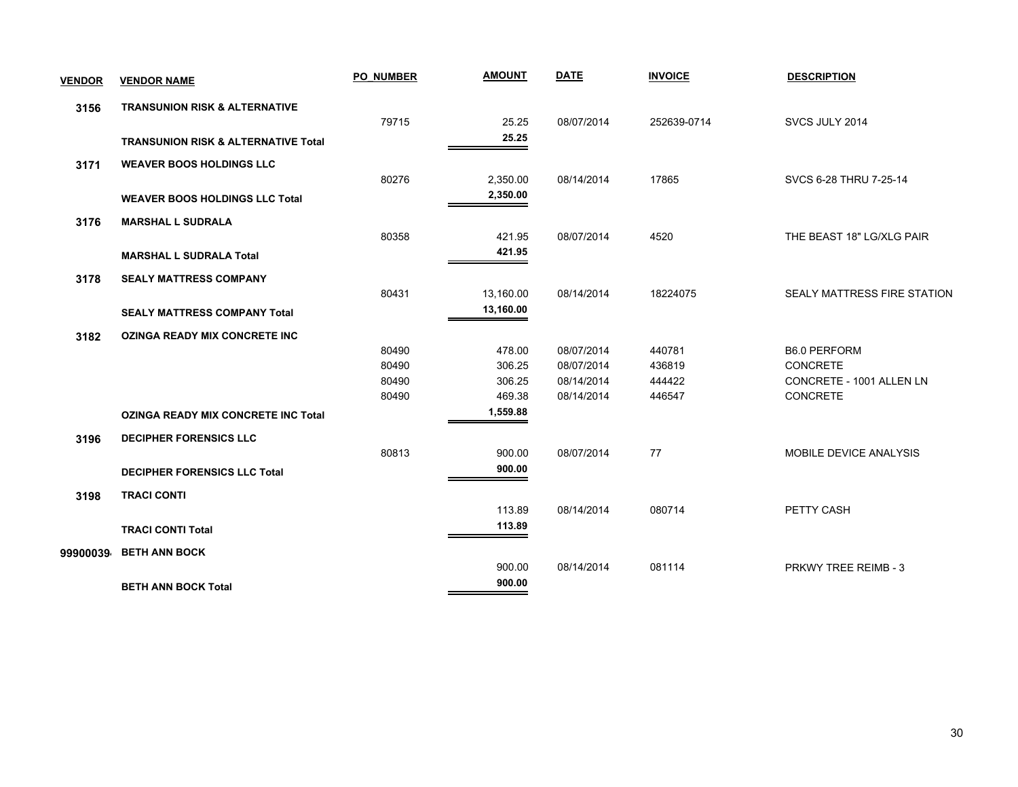| <b>VENDOR</b> | <b>VENDOR NAME</b>                             | <b>PO NUMBER</b> | <b>AMOUNT</b> | <b>DATE</b> | <b>INVOICE</b> | <b>DESCRIPTION</b>          |
|---------------|------------------------------------------------|------------------|---------------|-------------|----------------|-----------------------------|
| 3156          | <b>TRANSUNION RISK &amp; ALTERNATIVE</b>       |                  |               |             |                |                             |
|               |                                                | 79715            | 25.25         | 08/07/2014  | 252639-0714    | SVCS JULY 2014              |
|               | <b>TRANSUNION RISK &amp; ALTERNATIVE Total</b> |                  | 25.25         |             |                |                             |
| 3171          | <b>WEAVER BOOS HOLDINGS LLC</b>                |                  |               |             |                |                             |
|               |                                                | 80276            | 2,350.00      | 08/14/2014  | 17865          | SVCS 6-28 THRU 7-25-14      |
|               | <b>WEAVER BOOS HOLDINGS LLC Total</b>          |                  | 2,350.00      |             |                |                             |
| 3176          | <b>MARSHAL L SUDRALA</b>                       |                  |               |             |                |                             |
|               |                                                | 80358            | 421.95        | 08/07/2014  | 4520           | THE BEAST 18" LG/XLG PAIR   |
|               | <b>MARSHAL L SUDRALA Total</b>                 |                  | 421.95        |             |                |                             |
| 3178          | <b>SEALY MATTRESS COMPANY</b>                  |                  |               |             |                |                             |
|               |                                                | 80431            | 13,160.00     | 08/14/2014  | 18224075       | SEALY MATTRESS FIRE STATION |
|               | <b>SEALY MATTRESS COMPANY Total</b>            |                  | 13,160.00     |             |                |                             |
| 3182          | <b>OZINGA READY MIX CONCRETE INC</b>           |                  |               |             |                |                             |
|               |                                                | 80490            | 478.00        | 08/07/2014  | 440781         | <b>B6.0 PERFORM</b>         |
|               |                                                | 80490            | 306.25        | 08/07/2014  | 436819         | <b>CONCRETE</b>             |
|               |                                                | 80490            | 306.25        | 08/14/2014  | 444422         | CONCRETE - 1001 ALLEN LN    |
|               |                                                | 80490            | 469.38        | 08/14/2014  | 446547         | CONCRETE                    |
|               | <b>OZINGA READY MIX CONCRETE INC Total</b>     |                  | 1,559.88      |             |                |                             |
| 3196          | <b>DECIPHER FORENSICS LLC</b>                  |                  |               |             |                |                             |
|               |                                                | 80813            | 900.00        | 08/07/2014  | 77             | MOBILE DEVICE ANALYSIS      |
|               | <b>DECIPHER FORENSICS LLC Total</b>            |                  | 900.00        |             |                |                             |
| 3198          | <b>TRACI CONTI</b>                             |                  |               |             |                |                             |
|               |                                                |                  | 113.89        | 08/14/2014  | 080714         | PETTY CASH                  |
|               | <b>TRACI CONTI Total</b>                       |                  | 113.89        |             |                |                             |
| 99900039      | <b>BETH ANN BOCK</b>                           |                  |               |             |                |                             |
|               |                                                |                  | 900.00        | 08/14/2014  | 081114         | PRKWY TREE REIMB - 3        |
|               | <b>BETH ANN BOCK Total</b>                     |                  | 900.00        |             |                |                             |